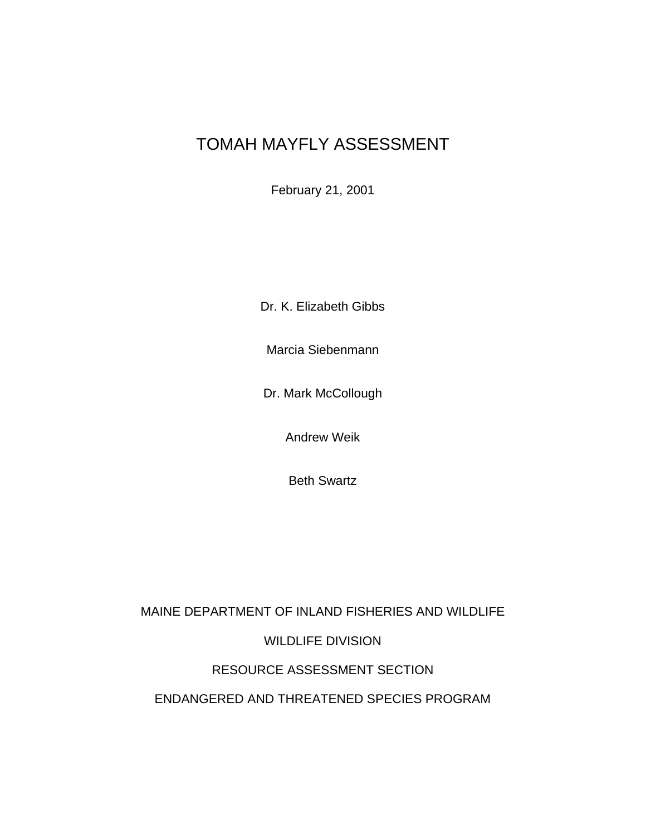# TOMAH MAYFLY ASSESSMENT

February 21, 2001

Dr. K. Elizabeth Gibbs

Marcia Siebenmann

Dr. Mark McCollough

Andrew Weik

Beth Swartz

MAINE DEPARTMENT OF INLAND FISHERIES AND WILDLIFE

# WILDLIFE DIVISION

# RESOURCE ASSESSMENT SECTION

ENDANGERED AND THREATENED SPECIES PROGRAM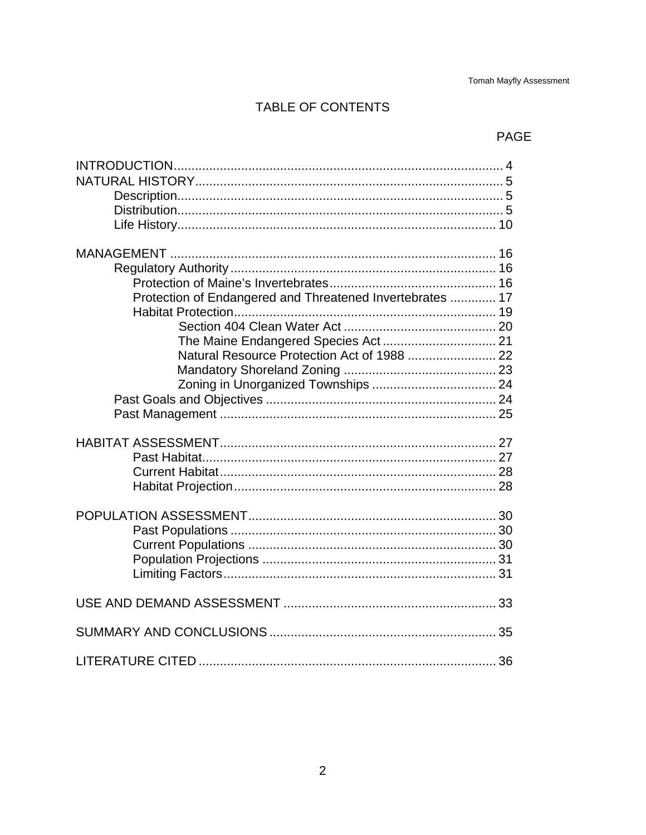# TABLE OF CONTENTS

# PAGE

| Protection of Endangered and Threatened Invertebrates  17<br>Natural Resource Protection Act of 1988  22 |  |
|----------------------------------------------------------------------------------------------------------|--|
|                                                                                                          |  |
|                                                                                                          |  |
|                                                                                                          |  |
|                                                                                                          |  |
|                                                                                                          |  |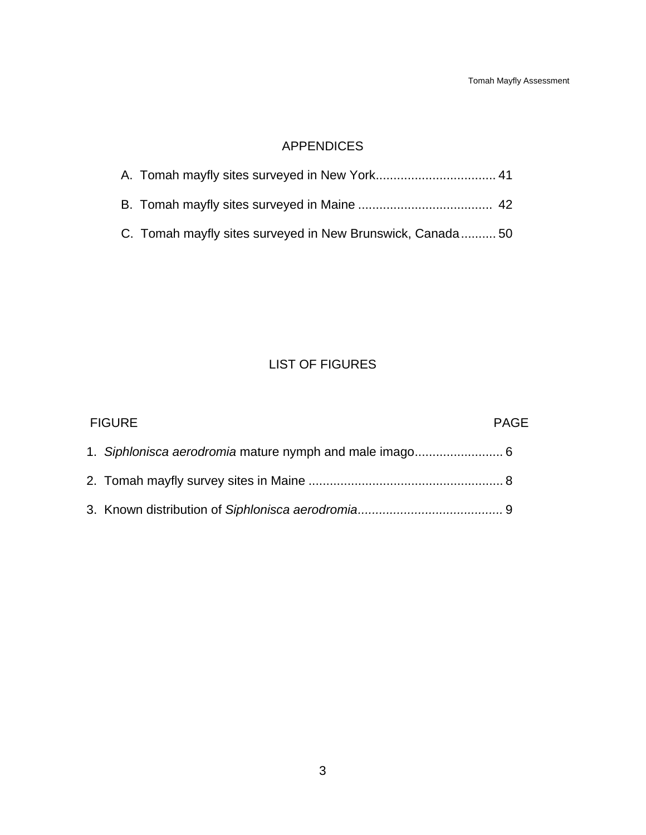## APPENDICES

| C. Tomah mayfly sites surveyed in New Brunswick, Canada50 |  |
|-----------------------------------------------------------|--|

# LIST OF FIGURES

| <b>FIGURE</b> | PAGE |
|---------------|------|
|               |      |
|               |      |
|               |      |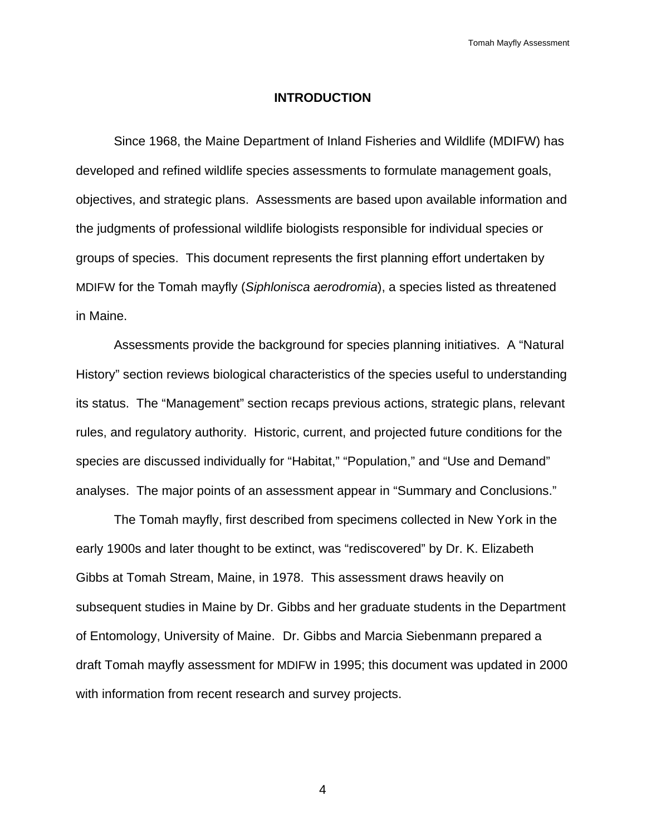#### **INTRODUCTION**

Since 1968, the Maine Department of Inland Fisheries and Wildlife (MDIFW) has developed and refined wildlife species assessments to formulate management goals, objectives, and strategic plans. Assessments are based upon available information and the judgments of professional wildlife biologists responsible for individual species or groups of species. This document represents the first planning effort undertaken by MDIFW for the Tomah mayfly (*Siphlonisca aerodromia*), a species listed as threatened in Maine.

Assessments provide the background for species planning initiatives. A "Natural History" section reviews biological characteristics of the species useful to understanding its status. The "Management" section recaps previous actions, strategic plans, relevant rules, and regulatory authority. Historic, current, and projected future conditions for the species are discussed individually for "Habitat," "Population," and "Use and Demand" analyses. The major points of an assessment appear in "Summary and Conclusions."

The Tomah mayfly, first described from specimens collected in New York in the early 1900s and later thought to be extinct, was "rediscovered" by Dr. K. Elizabeth Gibbs at Tomah Stream, Maine, in 1978. This assessment draws heavily on subsequent studies in Maine by Dr. Gibbs and her graduate students in the Department of Entomology, University of Maine. Dr. Gibbs and Marcia Siebenmann prepared a draft Tomah mayfly assessment for MDIFW in 1995; this document was updated in 2000 with information from recent research and survey projects.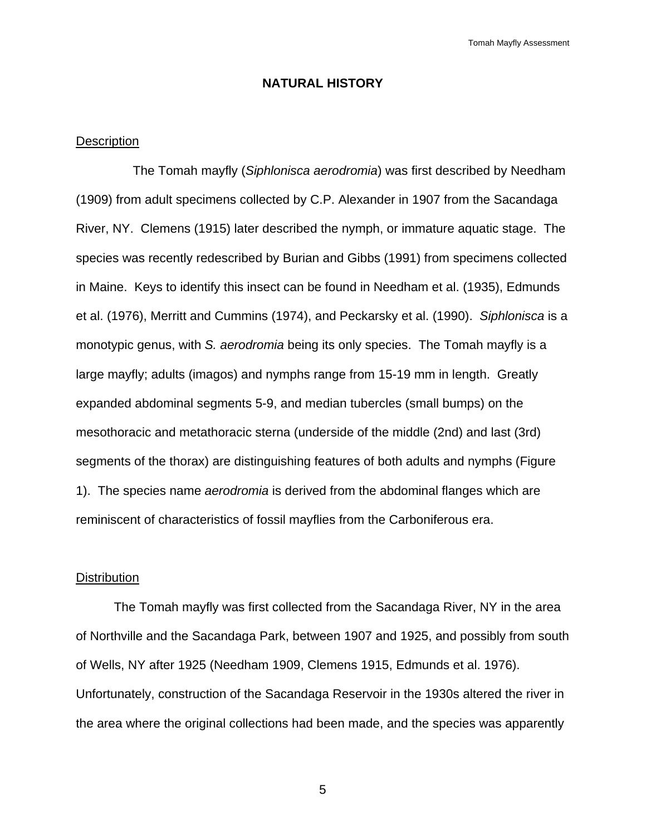## **NATURAL HISTORY**

### **Description**

 The Tomah mayfly (*Siphlonisca aerodromia*) was first described by Needham (1909) from adult specimens collected by C.P. Alexander in 1907 from the Sacandaga River, NY. Clemens (1915) later described the nymph, or immature aquatic stage. The species was recently redescribed by Burian and Gibbs (1991) from specimens collected in Maine. Keys to identify this insect can be found in Needham et al. (1935), Edmunds et al. (1976), Merritt and Cummins (1974), and Peckarsky et al. (1990). *Siphlonisca* is a monotypic genus, with *S. aerodromia* being its only species. The Tomah mayfly is a large mayfly; adults (imagos) and nymphs range from 15-19 mm in length. Greatly expanded abdominal segments 5-9, and median tubercles (small bumps) on the mesothoracic and metathoracic sterna (underside of the middle (2nd) and last (3rd) segments of the thorax) are distinguishing features of both adults and nymphs (Figure 1). The species name *aerodromia* is derived from the abdominal flanges which are reminiscent of characteristics of fossil mayflies from the Carboniferous era.

### **Distribution**

The Tomah mayfly was first collected from the Sacandaga River, NY in the area of Northville and the Sacandaga Park, between 1907 and 1925, and possibly from south of Wells, NY after 1925 (Needham 1909, Clemens 1915, Edmunds et al. 1976). Unfortunately, construction of the Sacandaga Reservoir in the 1930s altered the river in the area where the original collections had been made, and the species was apparently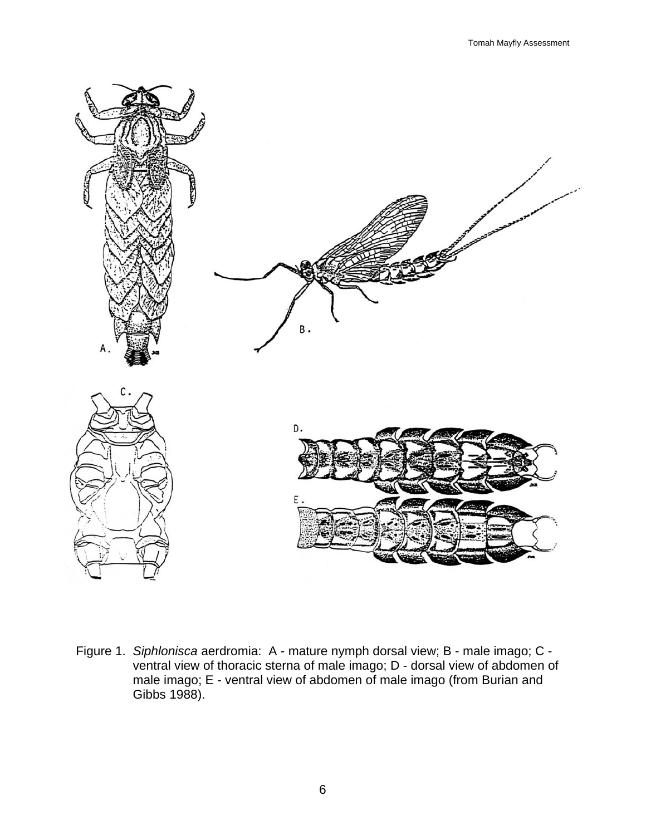

Figure 1. *Siphlonisca* aerdromia: A - mature nymph dorsal view; B - male imago; C ventral view of thoracic sterna of male imago; D - dorsal view of abdomen of male imago; E - ventral view of abdomen of male imago (from Burian and Gibbs 1988).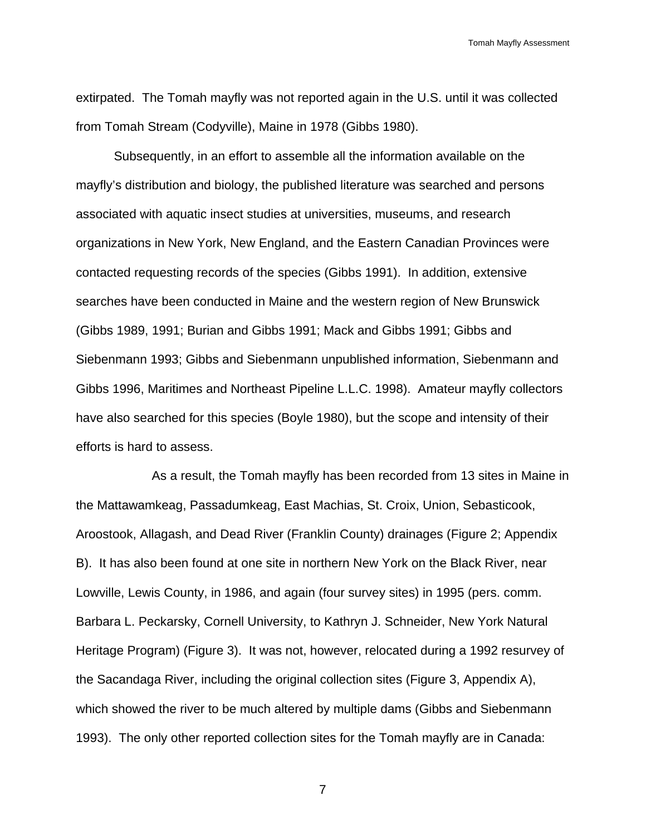extirpated. The Tomah mayfly was not reported again in the U.S. until it was collected from Tomah Stream (Codyville), Maine in 1978 (Gibbs 1980).

 Subsequently, in an effort to assemble all the information available on the mayfly's distribution and biology, the published literature was searched and persons associated with aquatic insect studies at universities, museums, and research organizations in New York, New England, and the Eastern Canadian Provinces were contacted requesting records of the species (Gibbs 1991). In addition, extensive searches have been conducted in Maine and the western region of New Brunswick (Gibbs 1989, 1991; Burian and Gibbs 1991; Mack and Gibbs 1991; Gibbs and Siebenmann 1993; Gibbs and Siebenmann unpublished information, Siebenmann and Gibbs 1996, Maritimes and Northeast Pipeline L.L.C. 1998). Amateur mayfly collectors have also searched for this species (Boyle 1980), but the scope and intensity of their efforts is hard to assess.

 As a result, the Tomah mayfly has been recorded from 13 sites in Maine in the Mattawamkeag, Passadumkeag, East Machias, St. Croix, Union, Sebasticook, Aroostook, Allagash, and Dead River (Franklin County) drainages (Figure 2; Appendix B). It has also been found at one site in northern New York on the Black River, near Lowville, Lewis County, in 1986, and again (four survey sites) in 1995 (pers. comm. Barbara L. Peckarsky, Cornell University, to Kathryn J. Schneider, New York Natural Heritage Program) (Figure 3). It was not, however, relocated during a 1992 resurvey of the Sacandaga River, including the original collection sites (Figure 3, Appendix A), which showed the river to be much altered by multiple dams (Gibbs and Siebenmann 1993). The only other reported collection sites for the Tomah mayfly are in Canada: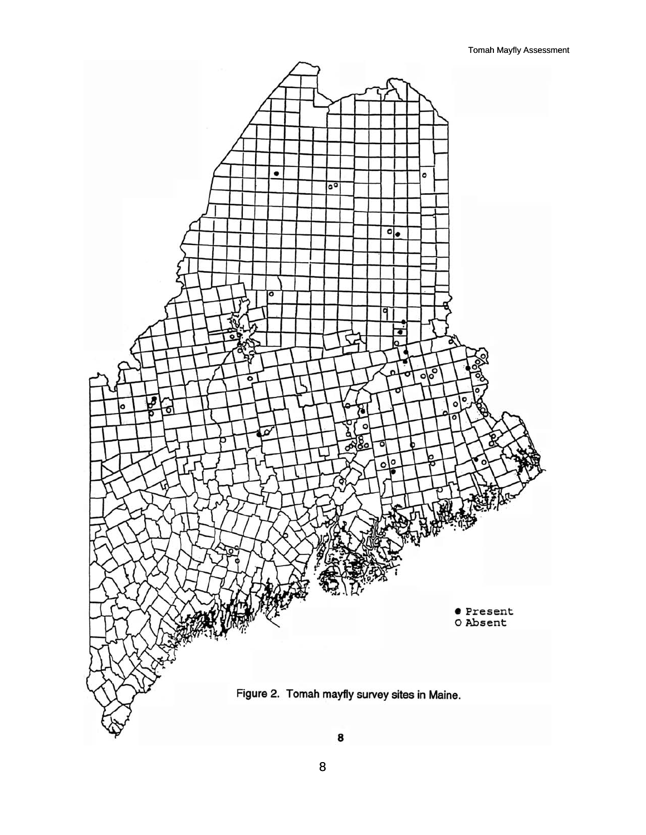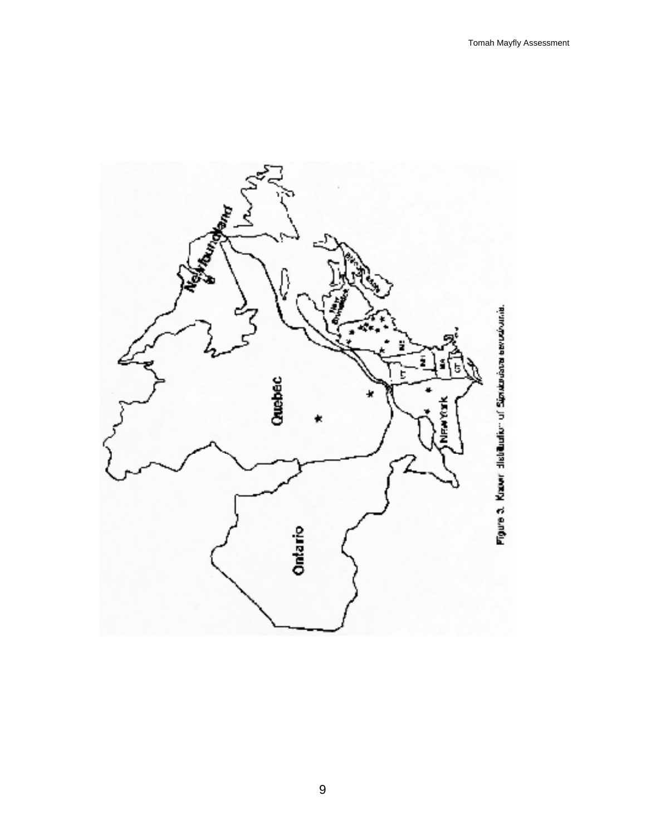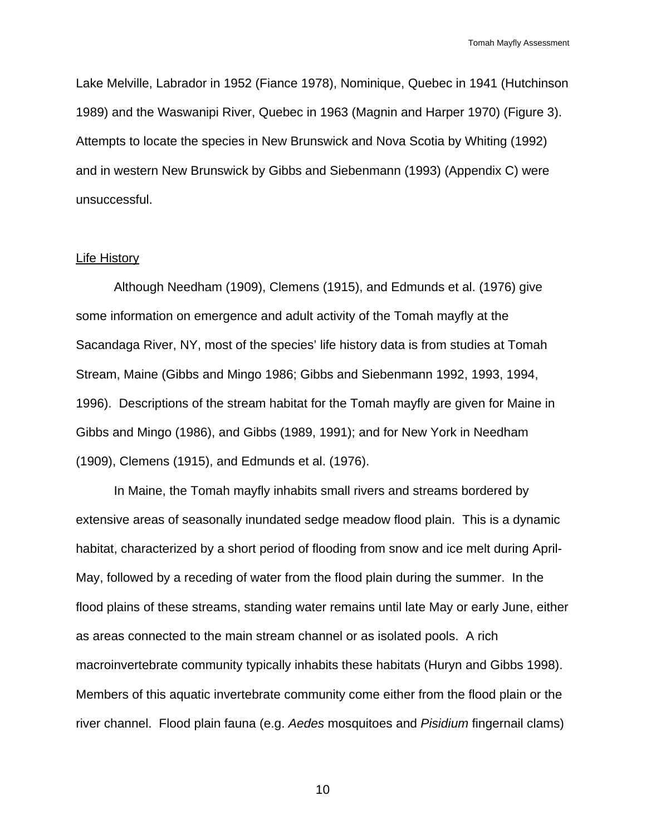Lake Melville, Labrador in 1952 (Fiance 1978), Nominique, Quebec in 1941 (Hutchinson 1989) and the Waswanipi River, Quebec in 1963 (Magnin and Harper 1970) (Figure 3). Attempts to locate the species in New Brunswick and Nova Scotia by Whiting (1992) and in western New Brunswick by Gibbs and Siebenmann (1993) (Appendix C) were unsuccessful.

#### Life History

Although Needham (1909), Clemens (1915), and Edmunds et al. (1976) give some information on emergence and adult activity of the Tomah mayfly at the Sacandaga River, NY, most of the species' life history data is from studies at Tomah Stream, Maine (Gibbs and Mingo 1986; Gibbs and Siebenmann 1992, 1993, 1994, 1996). Descriptions of the stream habitat for the Tomah mayfly are given for Maine in Gibbs and Mingo (1986), and Gibbs (1989, 1991); and for New York in Needham (1909), Clemens (1915), and Edmunds et al. (1976).

In Maine, the Tomah mayfly inhabits small rivers and streams bordered by extensive areas of seasonally inundated sedge meadow flood plain. This is a dynamic habitat, characterized by a short period of flooding from snow and ice melt during April-May, followed by a receding of water from the flood plain during the summer. In the flood plains of these streams, standing water remains until late May or early June, either as areas connected to the main stream channel or as isolated pools. A rich macroinvertebrate community typically inhabits these habitats (Huryn and Gibbs 1998). Members of this aquatic invertebrate community come either from the flood plain or the river channel. Flood plain fauna (e.g. *Aedes* mosquitoes and *Pisidium* fingernail clams)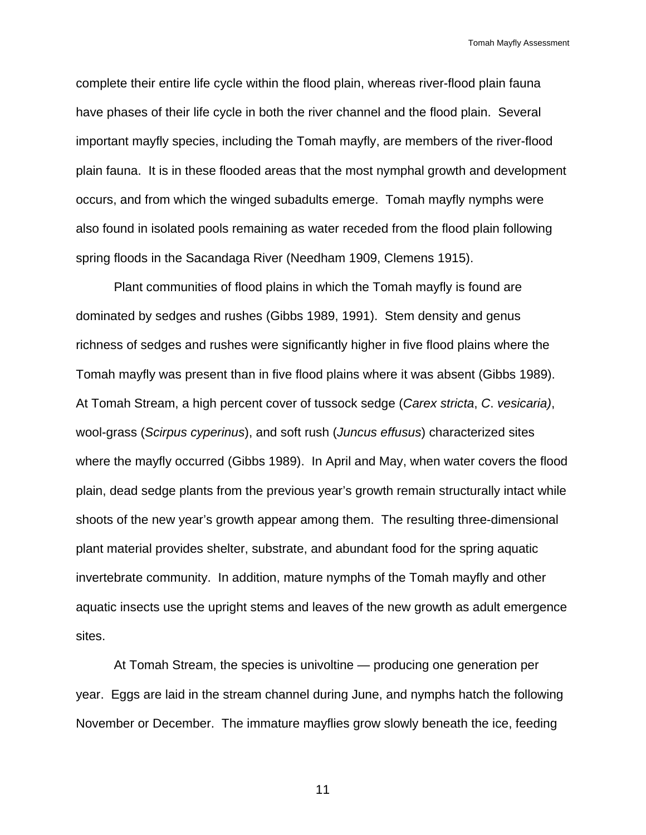complete their entire life cycle within the flood plain, whereas river-flood plain fauna have phases of their life cycle in both the river channel and the flood plain. Several important mayfly species, including the Tomah mayfly, are members of the river-flood plain fauna. It is in these flooded areas that the most nymphal growth and development occurs, and from which the winged subadults emerge. Tomah mayfly nymphs were also found in isolated pools remaining as water receded from the flood plain following spring floods in the Sacandaga River (Needham 1909, Clemens 1915).

Plant communities of flood plains in which the Tomah mayfly is found are dominated by sedges and rushes (Gibbs 1989, 1991). Stem density and genus richness of sedges and rushes were significantly higher in five flood plains where the Tomah mayfly was present than in five flood plains where it was absent (Gibbs 1989). At Tomah Stream, a high percent cover of tussock sedge (*Carex stricta*, *C*. *vesicaria)*, wool-grass (*Scirpus cyperinus*), and soft rush (*Juncus effusus*) characterized sites where the mayfly occurred (Gibbs 1989). In April and May, when water covers the flood plain, dead sedge plants from the previous year's growth remain structurally intact while shoots of the new year's growth appear among them. The resulting three-dimensional plant material provides shelter, substrate, and abundant food for the spring aquatic invertebrate community. In addition, mature nymphs of the Tomah mayfly and other aquatic insects use the upright stems and leaves of the new growth as adult emergence sites.

At Tomah Stream, the species is univoltine — producing one generation per year. Eggs are laid in the stream channel during June, and nymphs hatch the following November or December. The immature mayflies grow slowly beneath the ice, feeding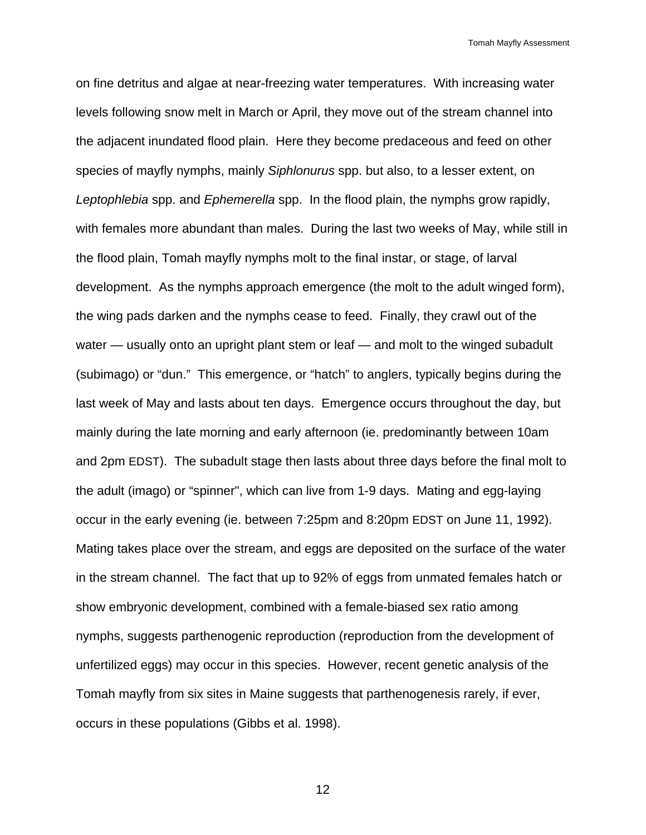on fine detritus and algae at near-freezing water temperatures. With increasing water levels following snow melt in March or April, they move out of the stream channel into the adjacent inundated flood plain. Here they become predaceous and feed on other species of mayfly nymphs, mainly *Siphlonurus* spp. but also, to a lesser extent, on *Leptophlebia* spp. and *Ephemerella* spp. In the flood plain, the nymphs grow rapidly, with females more abundant than males. During the last two weeks of May, while still in the flood plain, Tomah mayfly nymphs molt to the final instar, or stage, of larval development. As the nymphs approach emergence (the molt to the adult winged form), the wing pads darken and the nymphs cease to feed. Finally, they crawl out of the water — usually onto an upright plant stem or leaf — and molt to the winged subadult (subimago) or "dun." This emergence, or "hatch" to anglers, typically begins during the last week of May and lasts about ten days. Emergence occurs throughout the day, but mainly during the late morning and early afternoon (ie. predominantly between 10am and 2pm EDST). The subadult stage then lasts about three days before the final molt to the adult (imago) or "spinner", which can live from 1-9 days. Mating and egg-laying occur in the early evening (ie. between 7:25pm and 8:20pm EDST on June 11, 1992). Mating takes place over the stream, and eggs are deposited on the surface of the water in the stream channel. The fact that up to 92% of eggs from unmated females hatch or show embryonic development, combined with a female-biased sex ratio among nymphs, suggests parthenogenic reproduction (reproduction from the development of unfertilized eggs) may occur in this species. However, recent genetic analysis of the Tomah mayfly from six sites in Maine suggests that parthenogenesis rarely, if ever, occurs in these populations (Gibbs et al. 1998).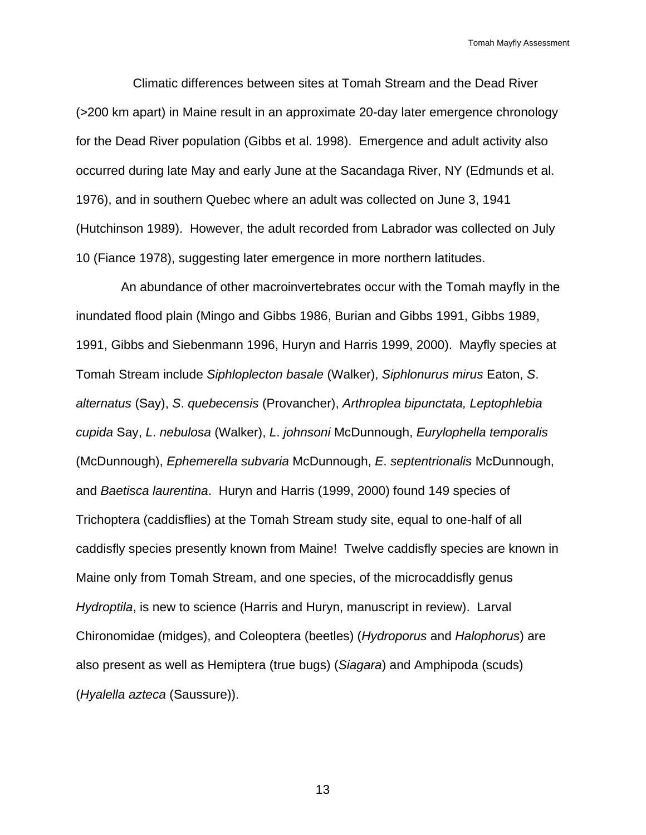Climatic differences between sites at Tomah Stream and the Dead River (>200 km apart) in Maine result in an approximate 20-day later emergence chronology for the Dead River population (Gibbs et al. 1998). Emergence and adult activity also occurred during late May and early June at the Sacandaga River, NY (Edmunds et al. 1976), and in southern Quebec where an adult was collected on June 3, 1941 (Hutchinson 1989). However, the adult recorded from Labrador was collected on July 10 (Fiance 1978), suggesting later emergence in more northern latitudes.

 An abundance of other macroinvertebrates occur with the Tomah mayfly in the inundated flood plain (Mingo and Gibbs 1986, Burian and Gibbs 1991, Gibbs 1989, 1991, Gibbs and Siebenmann 1996, Huryn and Harris 1999, 2000). Mayfly species at Tomah Stream include *Siphloplecton basale* (Walker), *Siphlonurus mirus* Eaton, *S*. *alternatus* (Say), *S*. *quebecensis* (Provancher), *Arthroplea bipunctata, Leptophlebia cupida* Say, *L*. *nebulosa* (Walker), *L*. *johnsoni* McDunnough, *Eurylophella temporalis* (McDunnough), *Ephemerella subvaria* McDunnough, *E*. *septentrionalis* McDunnough, and *Baetisca laurentina*. Huryn and Harris (1999, 2000) found 149 species of Trichoptera (caddisflies) at the Tomah Stream study site, equal to one-half of all caddisfly species presently known from Maine! Twelve caddisfly species are known in Maine only from Tomah Stream, and one species, of the microcaddisfly genus *Hydroptila*, is new to science (Harris and Huryn, manuscript in review). Larval Chironomidae (midges), and Coleoptera (beetles) (*Hydroporus* and *Halophorus*) are also present as well as Hemiptera (true bugs) (*Siagara*) and Amphipoda (scuds) (*Hyalella azteca* (Saussure)).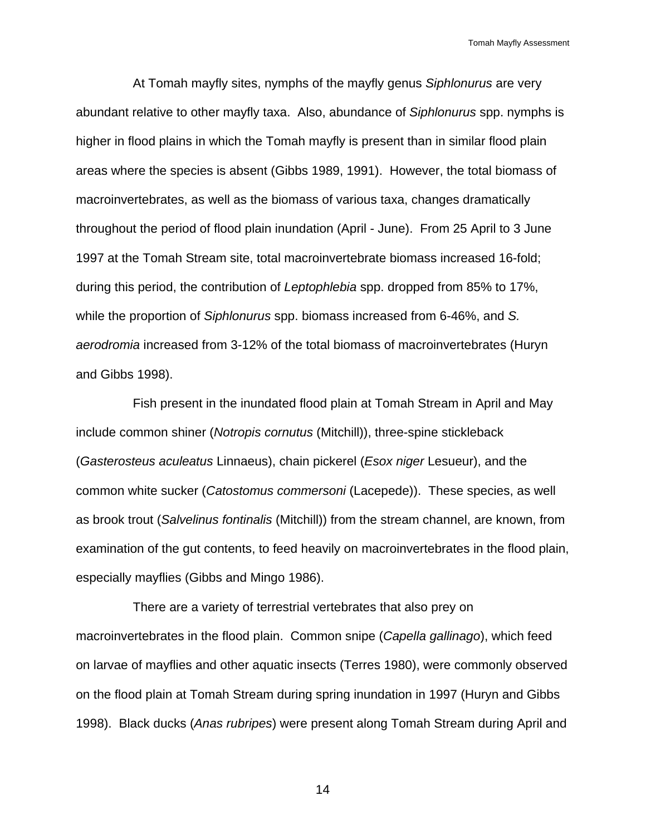At Tomah mayfly sites, nymphs of the mayfly genus *Siphlonurus* are very abundant relative to other mayfly taxa. Also, abundance of *Siphlonurus* spp. nymphs is higher in flood plains in which the Tomah mayfly is present than in similar flood plain areas where the species is absent (Gibbs 1989, 1991). However, the total biomass of macroinvertebrates, as well as the biomass of various taxa, changes dramatically throughout the period of flood plain inundation (April - June). From 25 April to 3 June 1997 at the Tomah Stream site, total macroinvertebrate biomass increased 16-fold; during this period, the contribution of *Leptophlebia* spp. dropped from 85% to 17%, while the proportion of *Siphlonurus* spp. biomass increased from 6-46%, and *S. aerodromia* increased from 3-12% of the total biomass of macroinvertebrates (Huryn and Gibbs 1998).

 Fish present in the inundated flood plain at Tomah Stream in April and May include common shiner (*Notropis cornutus* (Mitchill)), three-spine stickleback (*Gasterosteus aculeatus* Linnaeus), chain pickerel (*Esox niger* Lesueur), and the common white sucker (*Catostomus commersoni* (Lacepede)). These species, as well as brook trout (*Salvelinus fontinalis* (Mitchill)) from the stream channel, are known, from examination of the gut contents, to feed heavily on macroinvertebrates in the flood plain, especially mayflies (Gibbs and Mingo 1986).

 There are a variety of terrestrial vertebrates that also prey on macroinvertebrates in the flood plain. Common snipe (*Capella gallinago*), which feed on larvae of mayflies and other aquatic insects (Terres 1980), were commonly observed on the flood plain at Tomah Stream during spring inundation in 1997 (Huryn and Gibbs 1998). Black ducks (*Anas rubripes*) were present along Tomah Stream during April and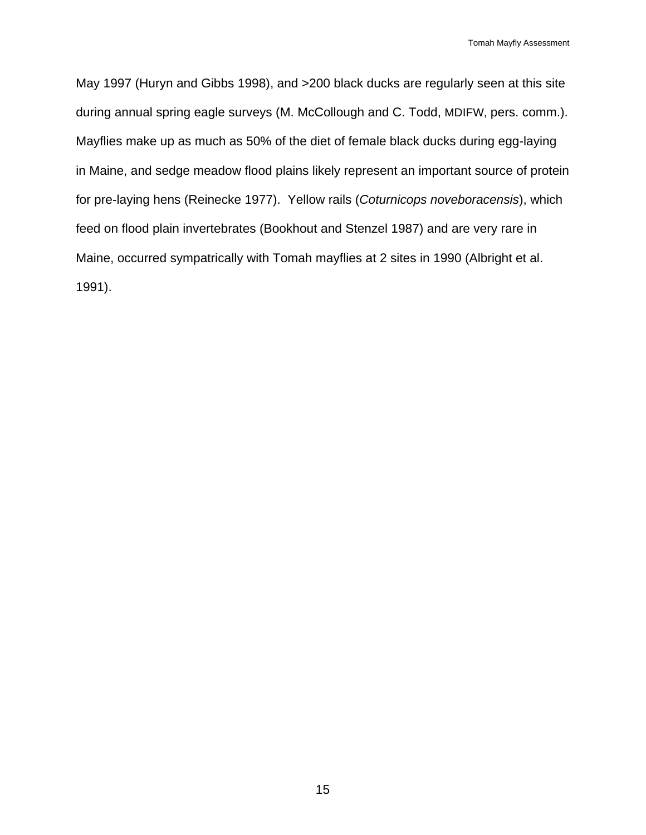May 1997 (Huryn and Gibbs 1998), and >200 black ducks are regularly seen at this site during annual spring eagle surveys (M. McCollough and C. Todd, MDIFW, pers. comm.). Mayflies make up as much as 50% of the diet of female black ducks during egg-laying in Maine, and sedge meadow flood plains likely represent an important source of protein for pre-laying hens (Reinecke 1977). Yellow rails (*Coturnicops noveboracensis*), which feed on flood plain invertebrates (Bookhout and Stenzel 1987) and are very rare in Maine, occurred sympatrically with Tomah mayflies at 2 sites in 1990 (Albright et al. 1991).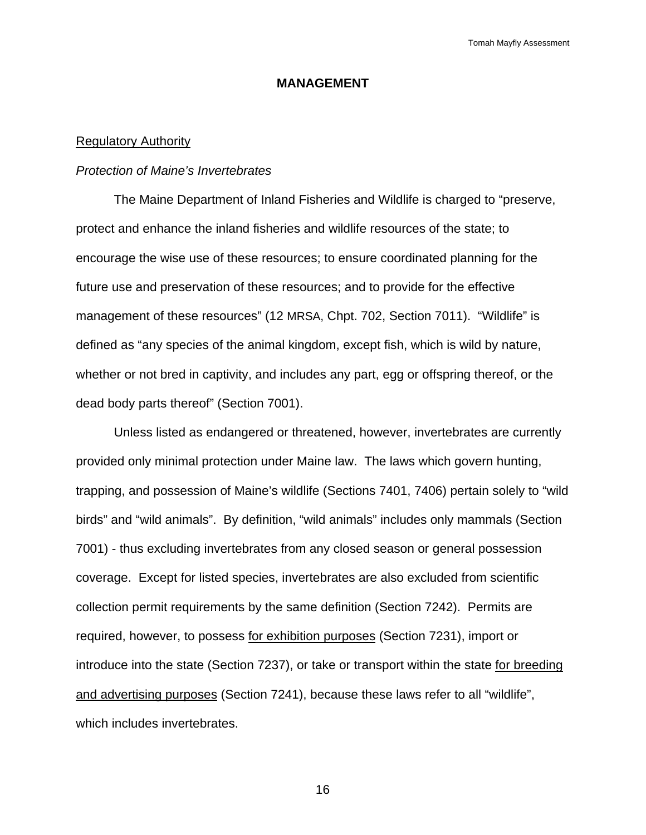### **MANAGEMENT**

## Regulatory Authority

#### *Protection of Maine's Invertebrates*

 The Maine Department of Inland Fisheries and Wildlife is charged to "preserve, protect and enhance the inland fisheries and wildlife resources of the state; to encourage the wise use of these resources; to ensure coordinated planning for the future use and preservation of these resources; and to provide for the effective management of these resources" (12 MRSA, Chpt. 702, Section 7011). "Wildlife" is defined as "any species of the animal kingdom, except fish, which is wild by nature, whether or not bred in captivity, and includes any part, egg or offspring thereof, or the dead body parts thereof" (Section 7001).

 Unless listed as endangered or threatened, however, invertebrates are currently provided only minimal protection under Maine law. The laws which govern hunting, trapping, and possession of Maine's wildlife (Sections 7401, 7406) pertain solely to "wild birds" and "wild animals". By definition, "wild animals" includes only mammals (Section 7001) - thus excluding invertebrates from any closed season or general possession coverage. Except for listed species, invertebrates are also excluded from scientific collection permit requirements by the same definition (Section 7242). Permits are required, however, to possess for exhibition purposes (Section 7231), import or introduce into the state (Section 7237), or take or transport within the state for breeding and advertising purposes (Section 7241), because these laws refer to all "wildlife", which includes invertebrates.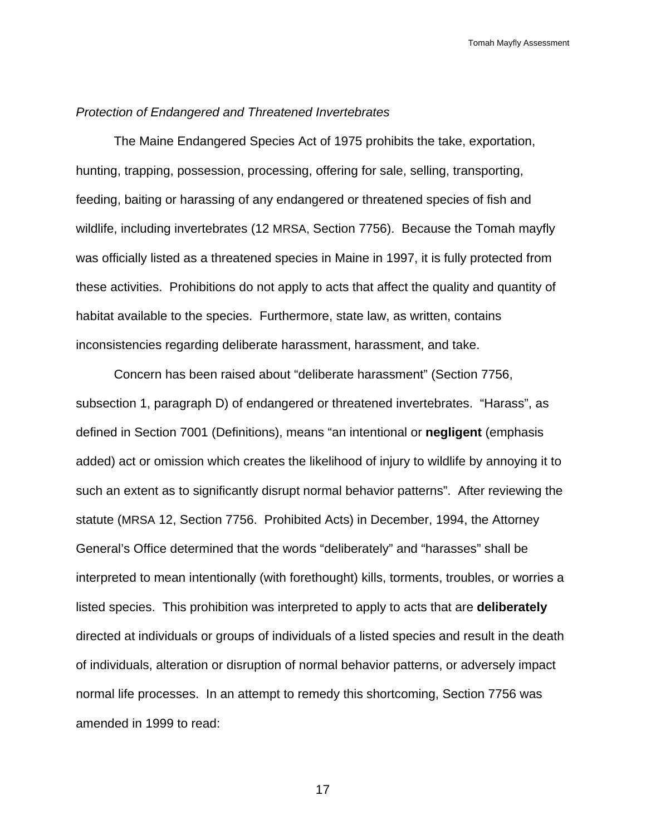## *Protection of Endangered and Threatened Invertebrates*

 The Maine Endangered Species Act of 1975 prohibits the take, exportation, hunting, trapping, possession, processing, offering for sale, selling, transporting, feeding, baiting or harassing of any endangered or threatened species of fish and wildlife, including invertebrates (12 MRSA, Section 7756). Because the Tomah mayfly was officially listed as a threatened species in Maine in 1997, it is fully protected from these activities. Prohibitions do not apply to acts that affect the quality and quantity of habitat available to the species. Furthermore, state law, as written, contains inconsistencies regarding deliberate harassment, harassment, and take.

 Concern has been raised about "deliberate harassment" (Section 7756, subsection 1, paragraph D) of endangered or threatened invertebrates. "Harass", as defined in Section 7001 (Definitions), means "an intentional or **negligent** (emphasis added) act or omission which creates the likelihood of injury to wildlife by annoying it to such an extent as to significantly disrupt normal behavior patterns". After reviewing the statute (MRSA 12, Section 7756. Prohibited Acts) in December, 1994, the Attorney General's Office determined that the words "deliberately" and "harasses" shall be interpreted to mean intentionally (with forethought) kills, torments, troubles, or worries a listed species. This prohibition was interpreted to apply to acts that are **deliberately** directed at individuals or groups of individuals of a listed species and result in the death of individuals, alteration or disruption of normal behavior patterns, or adversely impact normal life processes. In an attempt to remedy this shortcoming, Section 7756 was amended in 1999 to read: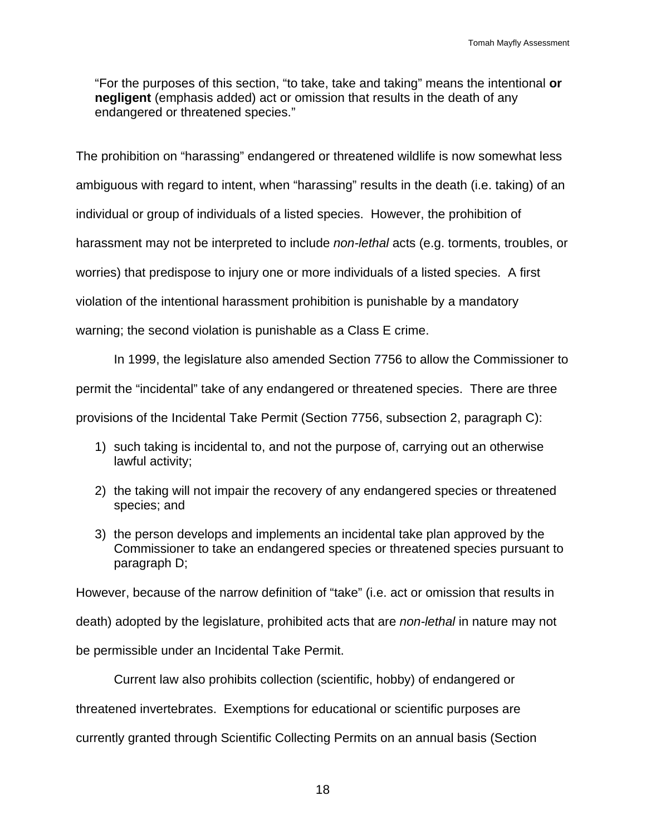"For the purposes of this section, "to take, take and taking" means the intentional **or negligent** (emphasis added) act or omission that results in the death of any endangered or threatened species."

The prohibition on "harassing" endangered or threatened wildlife is now somewhat less ambiguous with regard to intent, when "harassing" results in the death (i.e. taking) of an individual or group of individuals of a listed species. However, the prohibition of harassment may not be interpreted to include *non-lethal* acts (e.g. torments, troubles, or worries) that predispose to injury one or more individuals of a listed species. A first violation of the intentional harassment prohibition is punishable by a mandatory warning; the second violation is punishable as a Class E crime.

 In 1999, the legislature also amended Section 7756 to allow the Commissioner to permit the "incidental" take of any endangered or threatened species. There are three provisions of the Incidental Take Permit (Section 7756, subsection 2, paragraph C):

- 1) such taking is incidental to, and not the purpose of, carrying out an otherwise lawful activity;
- 2) the taking will not impair the recovery of any endangered species or threatened species; and
- 3) the person develops and implements an incidental take plan approved by the Commissioner to take an endangered species or threatened species pursuant to paragraph D;

However, because of the narrow definition of "take" (i.e. act or omission that results in

death) adopted by the legislature, prohibited acts that are *non-lethal* in nature may not

be permissible under an Incidental Take Permit.

 Current law also prohibits collection (scientific, hobby) of endangered or threatened invertebrates. Exemptions for educational or scientific purposes are currently granted through Scientific Collecting Permits on an annual basis (Section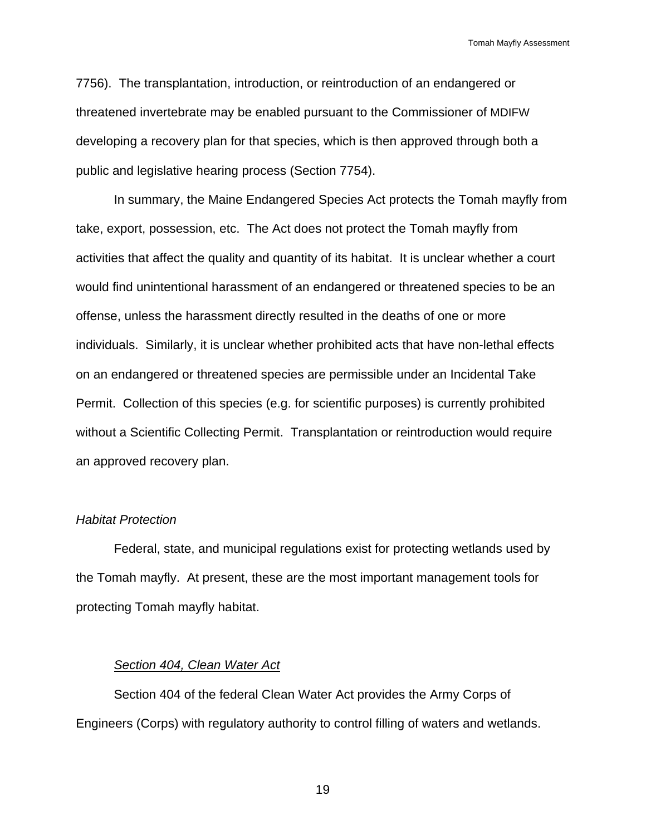7756). The transplantation, introduction, or reintroduction of an endangered or threatened invertebrate may be enabled pursuant to the Commissioner of MDIFW developing a recovery plan for that species, which is then approved through both a public and legislative hearing process (Section 7754).

 In summary, the Maine Endangered Species Act protects the Tomah mayfly from take, export, possession, etc. The Act does not protect the Tomah mayfly from activities that affect the quality and quantity of its habitat. It is unclear whether a court would find unintentional harassment of an endangered or threatened species to be an offense, unless the harassment directly resulted in the deaths of one or more individuals. Similarly, it is unclear whether prohibited acts that have non-lethal effects on an endangered or threatened species are permissible under an Incidental Take Permit. Collection of this species (e.g. for scientific purposes) is currently prohibited without a Scientific Collecting Permit. Transplantation or reintroduction would require an approved recovery plan.

## *Habitat Protection*

 Federal, state, and municipal regulations exist for protecting wetlands used by the Tomah mayfly. At present, these are the most important management tools for protecting Tomah mayfly habitat.

### *Section 404, Clean Water Act*

 Section 404 of the federal Clean Water Act provides the Army Corps of Engineers (Corps) with regulatory authority to control filling of waters and wetlands.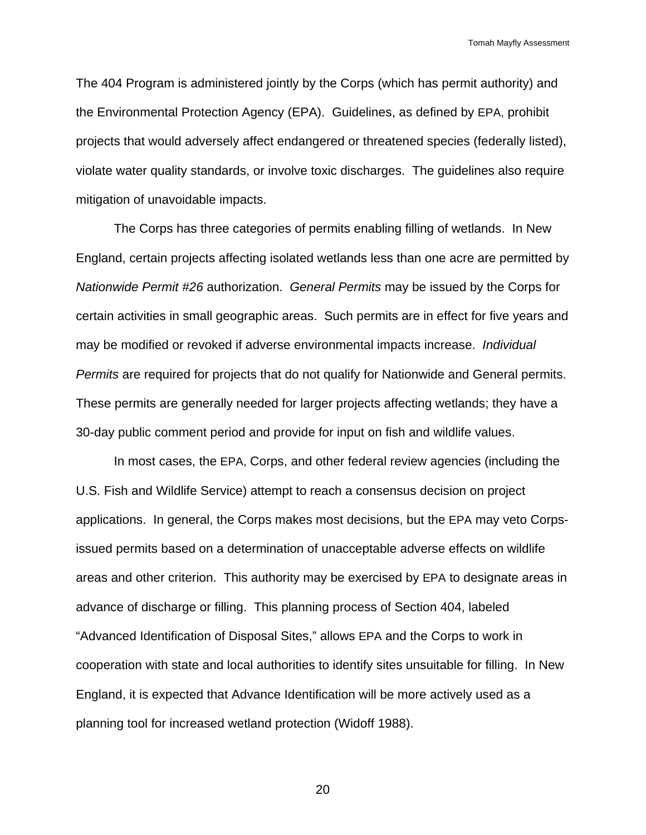The 404 Program is administered jointly by the Corps (which has permit authority) and the Environmental Protection Agency (EPA). Guidelines, as defined by EPA, prohibit projects that would adversely affect endangered or threatened species (federally listed), violate water quality standards, or involve toxic discharges. The guidelines also require mitigation of unavoidable impacts.

 The Corps has three categories of permits enabling filling of wetlands. In New England, certain projects affecting isolated wetlands less than one acre are permitted by *Nationwide Permit #26* authorization. *General Permits* may be issued by the Corps for certain activities in small geographic areas. Such permits are in effect for five years and may be modified or revoked if adverse environmental impacts increase. *Individual Permits* are required for projects that do not qualify for Nationwide and General permits. These permits are generally needed for larger projects affecting wetlands; they have a 30-day public comment period and provide for input on fish and wildlife values.

 In most cases, the EPA, Corps, and other federal review agencies (including the U.S. Fish and Wildlife Service) attempt to reach a consensus decision on project applications. In general, the Corps makes most decisions, but the EPA may veto Corpsissued permits based on a determination of unacceptable adverse effects on wildlife areas and other criterion. This authority may be exercised by EPA to designate areas in advance of discharge or filling. This planning process of Section 404, labeled "Advanced Identification of Disposal Sites," allows EPA and the Corps to work in cooperation with state and local authorities to identify sites unsuitable for filling. In New England, it is expected that Advance Identification will be more actively used as a planning tool for increased wetland protection (Widoff 1988).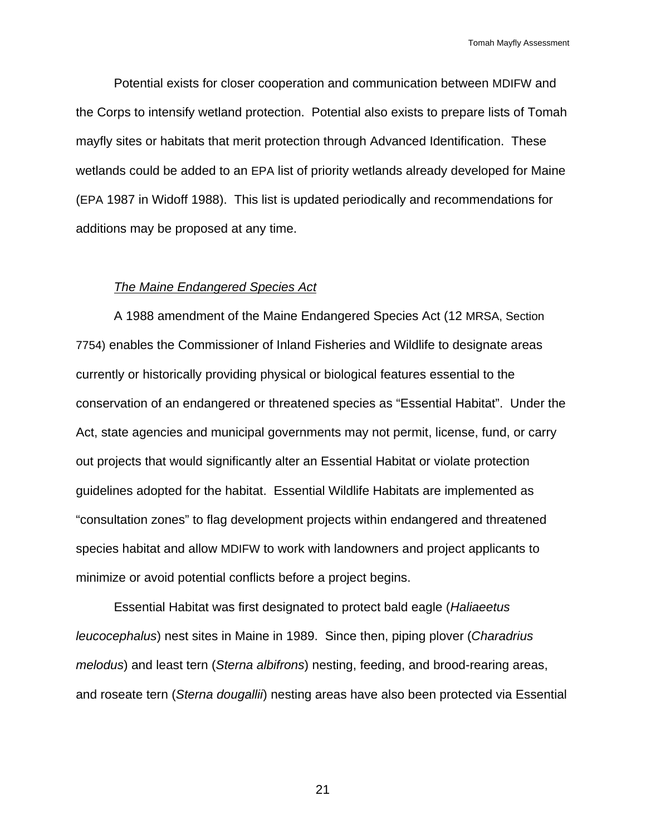Potential exists for closer cooperation and communication between MDIFW and the Corps to intensify wetland protection. Potential also exists to prepare lists of Tomah mayfly sites or habitats that merit protection through Advanced Identification. These wetlands could be added to an EPA list of priority wetlands already developed for Maine (EPA 1987 in Widoff 1988). This list is updated periodically and recommendations for additions may be proposed at any time.

### *The Maine Endangered Species Act*

 A 1988 amendment of the Maine Endangered Species Act (12 MRSA, Section 7754) enables the Commissioner of Inland Fisheries and Wildlife to designate areas currently or historically providing physical or biological features essential to the conservation of an endangered or threatened species as "Essential Habitat". Under the Act, state agencies and municipal governments may not permit, license, fund, or carry out projects that would significantly alter an Essential Habitat or violate protection guidelines adopted for the habitat. Essential Wildlife Habitats are implemented as "consultation zones" to flag development projects within endangered and threatened species habitat and allow MDIFW to work with landowners and project applicants to minimize or avoid potential conflicts before a project begins.

 Essential Habitat was first designated to protect bald eagle (*Haliaeetus leucocephalus*) nest sites in Maine in 1989. Since then, piping plover (*Charadrius melodus*) and least tern (*Sterna albifrons*) nesting, feeding, and brood-rearing areas, and roseate tern (*Sterna dougallii*) nesting areas have also been protected via Essential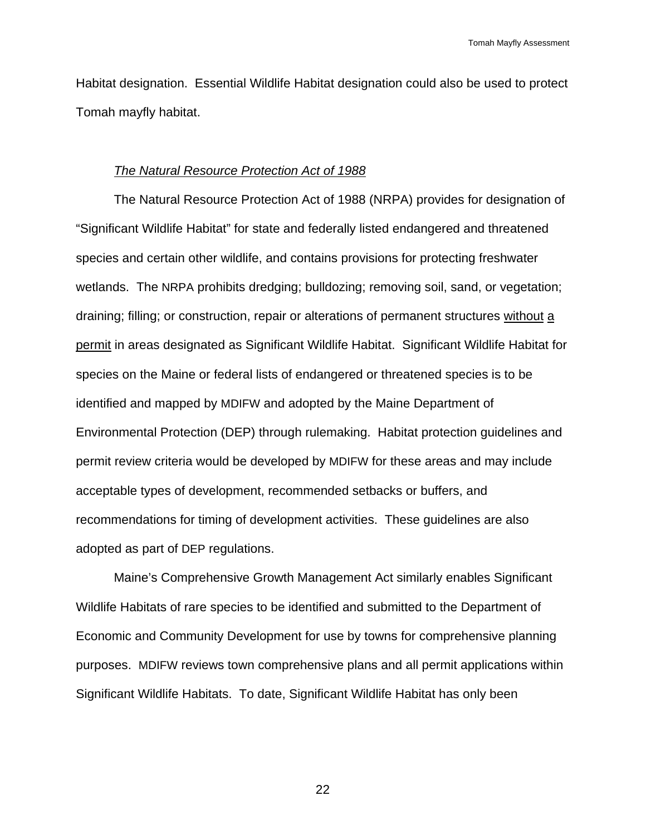Habitat designation. Essential Wildlife Habitat designation could also be used to protect Tomah mayfly habitat.

#### *The Natural Resource Protection Act of 1988*

 The Natural Resource Protection Act of 1988 (NRPA) provides for designation of "Significant Wildlife Habitat" for state and federally listed endangered and threatened species and certain other wildlife, and contains provisions for protecting freshwater wetlands. The NRPA prohibits dredging; bulldozing; removing soil, sand, or vegetation; draining; filling; or construction, repair or alterations of permanent structures without a permit in areas designated as Significant Wildlife Habitat. Significant Wildlife Habitat for species on the Maine or federal lists of endangered or threatened species is to be identified and mapped by MDIFW and adopted by the Maine Department of Environmental Protection (DEP) through rulemaking. Habitat protection guidelines and permit review criteria would be developed by MDIFW for these areas and may include acceptable types of development, recommended setbacks or buffers, and recommendations for timing of development activities. These guidelines are also adopted as part of DEP regulations.

 Maine's Comprehensive Growth Management Act similarly enables Significant Wildlife Habitats of rare species to be identified and submitted to the Department of Economic and Community Development for use by towns for comprehensive planning purposes. MDIFW reviews town comprehensive plans and all permit applications within Significant Wildlife Habitats. To date, Significant Wildlife Habitat has only been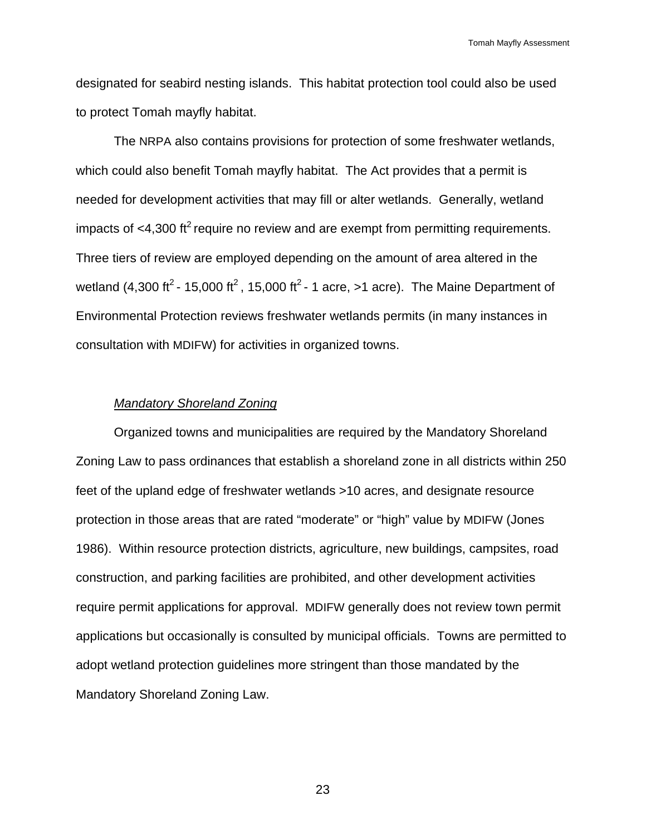designated for seabird nesting islands. This habitat protection tool could also be used to protect Tomah mayfly habitat.

 The NRPA also contains provisions for protection of some freshwater wetlands, which could also benefit Tomah mayfly habitat. The Act provides that a permit is needed for development activities that may fill or alter wetlands. Generally, wetland impacts of  $<$ 4,300 ft<sup>2</sup> require no review and are exempt from permitting requirements. Three tiers of review are employed depending on the amount of area altered in the wetland (4,300 ft<sup>2</sup> - 15,000 ft<sup>2</sup>, 15,000 ft<sup>2</sup> - 1 acre, >1 acre). The Maine Department of Environmental Protection reviews freshwater wetlands permits (in many instances in consultation with MDIFW) for activities in organized towns.

#### *Mandatory Shoreland Zoning*

 Organized towns and municipalities are required by the Mandatory Shoreland Zoning Law to pass ordinances that establish a shoreland zone in all districts within 250 feet of the upland edge of freshwater wetlands >10 acres, and designate resource protection in those areas that are rated "moderate" or "high" value by MDIFW (Jones 1986). Within resource protection districts, agriculture, new buildings, campsites, road construction, and parking facilities are prohibited, and other development activities require permit applications for approval. MDIFW generally does not review town permit applications but occasionally is consulted by municipal officials. Towns are permitted to adopt wetland protection guidelines more stringent than those mandated by the Mandatory Shoreland Zoning Law.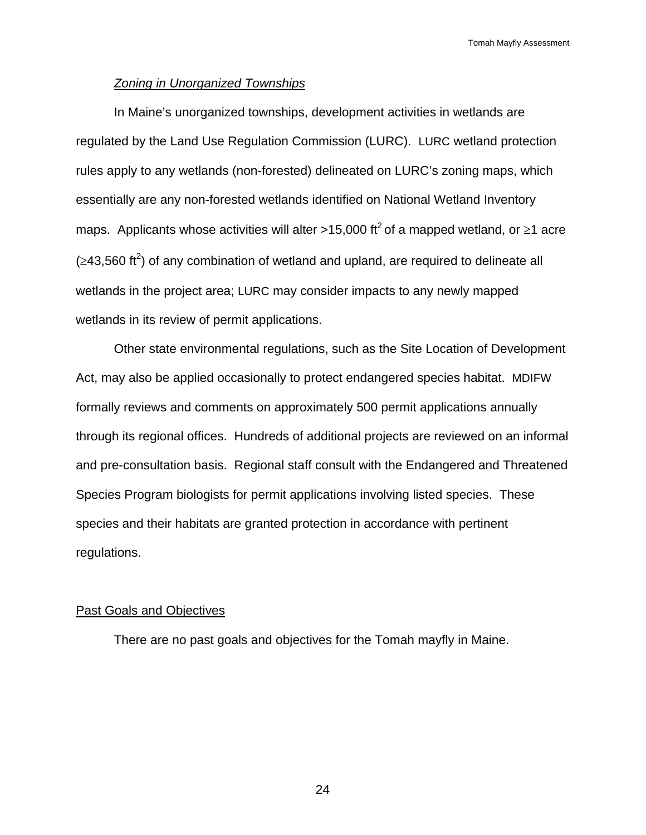## *Zoning in Unorganized Townships*

 In Maine's unorganized townships, development activities in wetlands are regulated by the Land Use Regulation Commission (LURC). LURC wetland protection rules apply to any wetlands (non-forested) delineated on LURC's zoning maps, which essentially are any non-forested wetlands identified on National Wetland Inventory maps. Applicants whose activities will alter >15,000 ft<sup>2</sup> of a mapped wetland, or  $\geq$ 1 acre  $(\geq$ 43,560 ft<sup>2</sup>) of any combination of wetland and upland, are required to delineate all wetlands in the project area; LURC may consider impacts to any newly mapped wetlands in its review of permit applications.

 Other state environmental regulations, such as the Site Location of Development Act, may also be applied occasionally to protect endangered species habitat. MDIFW formally reviews and comments on approximately 500 permit applications annually through its regional offices. Hundreds of additional projects are reviewed on an informal and pre-consultation basis. Regional staff consult with the Endangered and Threatened Species Program biologists for permit applications involving listed species. These species and their habitats are granted protection in accordance with pertinent regulations.

## Past Goals and Objectives

There are no past goals and objectives for the Tomah mayfly in Maine.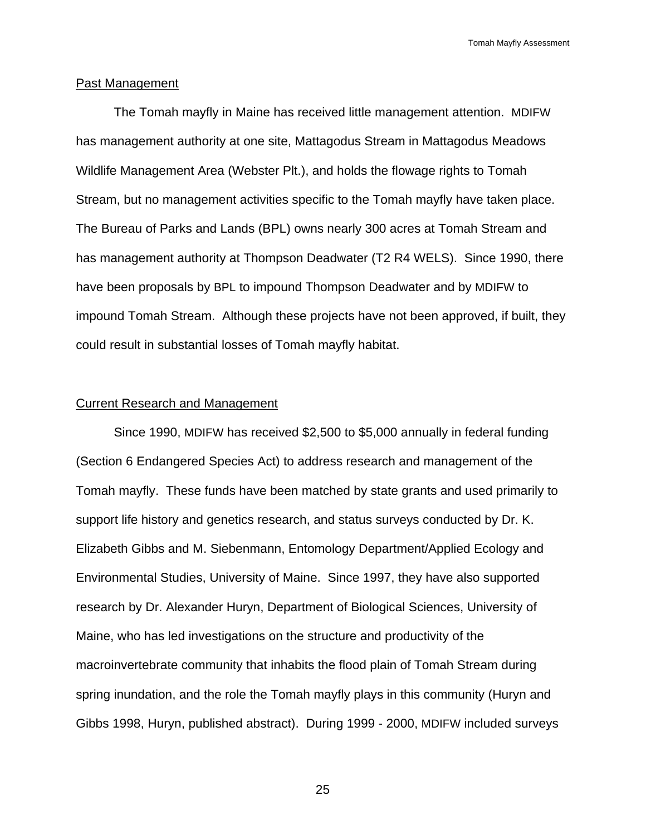### Past Management

 The Tomah mayfly in Maine has received little management attention. MDIFW has management authority at one site, Mattagodus Stream in Mattagodus Meadows Wildlife Management Area (Webster Plt.), and holds the flowage rights to Tomah Stream, but no management activities specific to the Tomah mayfly have taken place. The Bureau of Parks and Lands (BPL) owns nearly 300 acres at Tomah Stream and has management authority at Thompson Deadwater (T2 R4 WELS). Since 1990, there have been proposals by BPL to impound Thompson Deadwater and by MDIFW to impound Tomah Stream. Although these projects have not been approved, if built, they could result in substantial losses of Tomah mayfly habitat.

#### Current Research and Management

Since 1990, MDIFW has received \$2,500 to \$5,000 annually in federal funding (Section 6 Endangered Species Act) to address research and management of the Tomah mayfly. These funds have been matched by state grants and used primarily to support life history and genetics research, and status surveys conducted by Dr. K. Elizabeth Gibbs and M. Siebenmann, Entomology Department/Applied Ecology and Environmental Studies, University of Maine. Since 1997, they have also supported research by Dr. Alexander Huryn, Department of Biological Sciences, University of Maine, who has led investigations on the structure and productivity of the macroinvertebrate community that inhabits the flood plain of Tomah Stream during spring inundation, and the role the Tomah mayfly plays in this community (Huryn and Gibbs 1998, Huryn, published abstract). During 1999 - 2000, MDIFW included surveys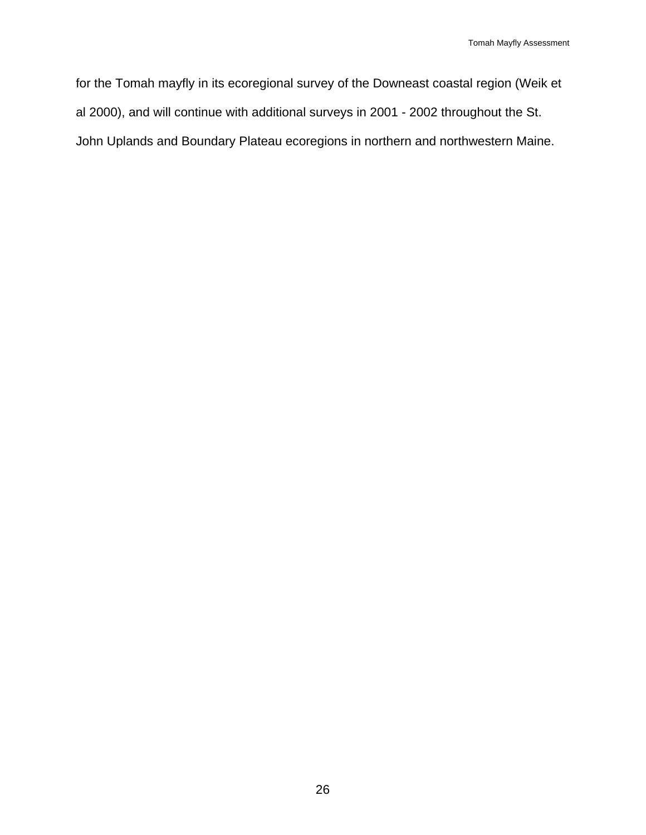for the Tomah mayfly in its ecoregional survey of the Downeast coastal region (Weik et al 2000), and will continue with additional surveys in 2001 - 2002 throughout the St. John Uplands and Boundary Plateau ecoregions in northern and northwestern Maine.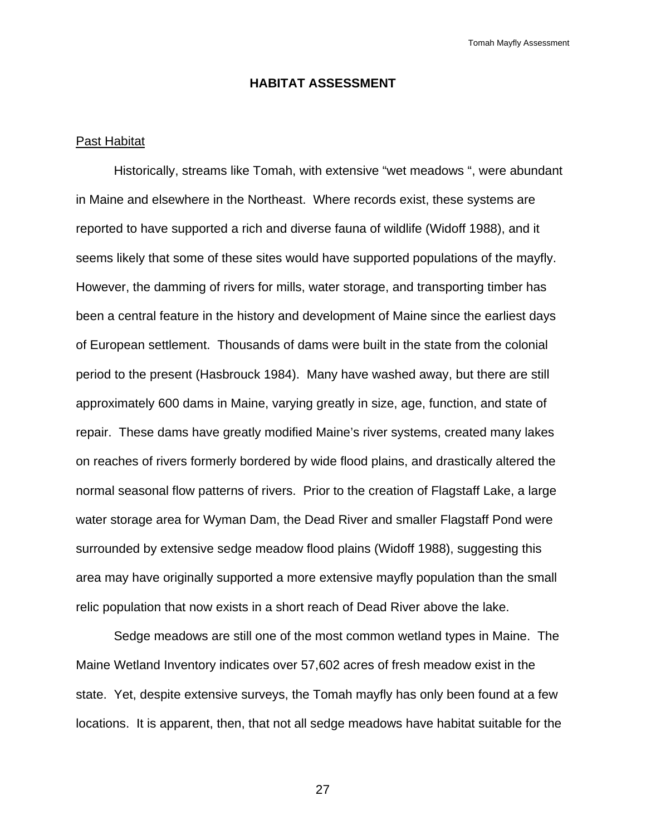## **HABITAT ASSESSMENT**

## Past Habitat

Historically, streams like Tomah, with extensive "wet meadows ", were abundant in Maine and elsewhere in the Northeast. Where records exist, these systems are reported to have supported a rich and diverse fauna of wildlife (Widoff 1988), and it seems likely that some of these sites would have supported populations of the mayfly. However, the damming of rivers for mills, water storage, and transporting timber has been a central feature in the history and development of Maine since the earliest days of European settlement. Thousands of dams were built in the state from the colonial period to the present (Hasbrouck 1984). Many have washed away, but there are still approximately 600 dams in Maine, varying greatly in size, age, function, and state of repair. These dams have greatly modified Maine's river systems, created many lakes on reaches of rivers formerly bordered by wide flood plains, and drastically altered the normal seasonal flow patterns of rivers. Prior to the creation of Flagstaff Lake, a large water storage area for Wyman Dam, the Dead River and smaller Flagstaff Pond were surrounded by extensive sedge meadow flood plains (Widoff 1988), suggesting this area may have originally supported a more extensive mayfly population than the small relic population that now exists in a short reach of Dead River above the lake.

Sedge meadows are still one of the most common wetland types in Maine. The Maine Wetland Inventory indicates over 57,602 acres of fresh meadow exist in the state. Yet, despite extensive surveys, the Tomah mayfly has only been found at a few locations. It is apparent, then, that not all sedge meadows have habitat suitable for the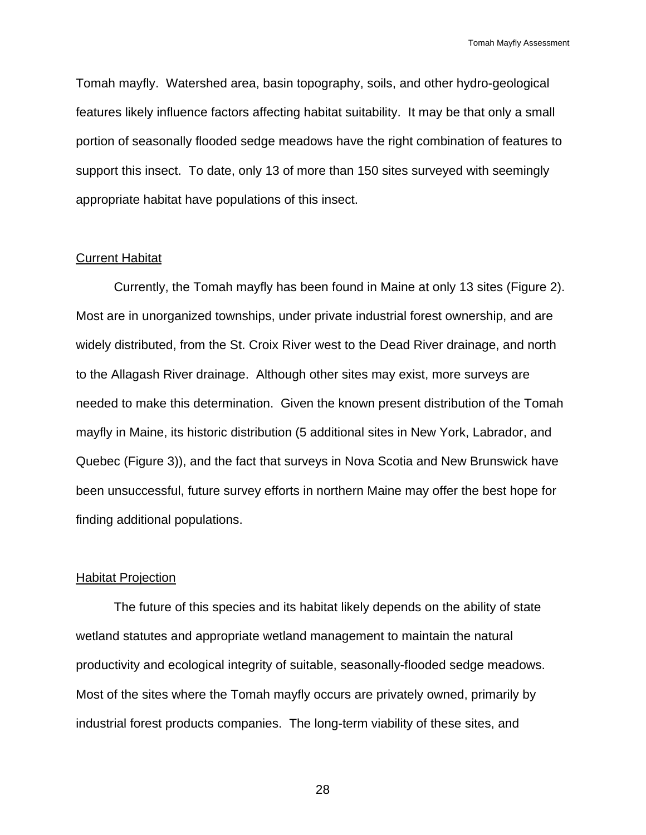Tomah mayfly. Watershed area, basin topography, soils, and other hydro-geological features likely influence factors affecting habitat suitability. It may be that only a small portion of seasonally flooded sedge meadows have the right combination of features to support this insect. To date, only 13 of more than 150 sites surveyed with seemingly appropriate habitat have populations of this insect.

#### Current Habitat

Currently, the Tomah mayfly has been found in Maine at only 13 sites (Figure 2). Most are in unorganized townships, under private industrial forest ownership, and are widely distributed, from the St. Croix River west to the Dead River drainage, and north to the Allagash River drainage. Although other sites may exist, more surveys are needed to make this determination. Given the known present distribution of the Tomah mayfly in Maine, its historic distribution (5 additional sites in New York, Labrador, and Quebec (Figure 3)), and the fact that surveys in Nova Scotia and New Brunswick have been unsuccessful, future survey efforts in northern Maine may offer the best hope for finding additional populations.

### Habitat Projection

The future of this species and its habitat likely depends on the ability of state wetland statutes and appropriate wetland management to maintain the natural productivity and ecological integrity of suitable, seasonally-flooded sedge meadows. Most of the sites where the Tomah mayfly occurs are privately owned, primarily by industrial forest products companies. The long-term viability of these sites, and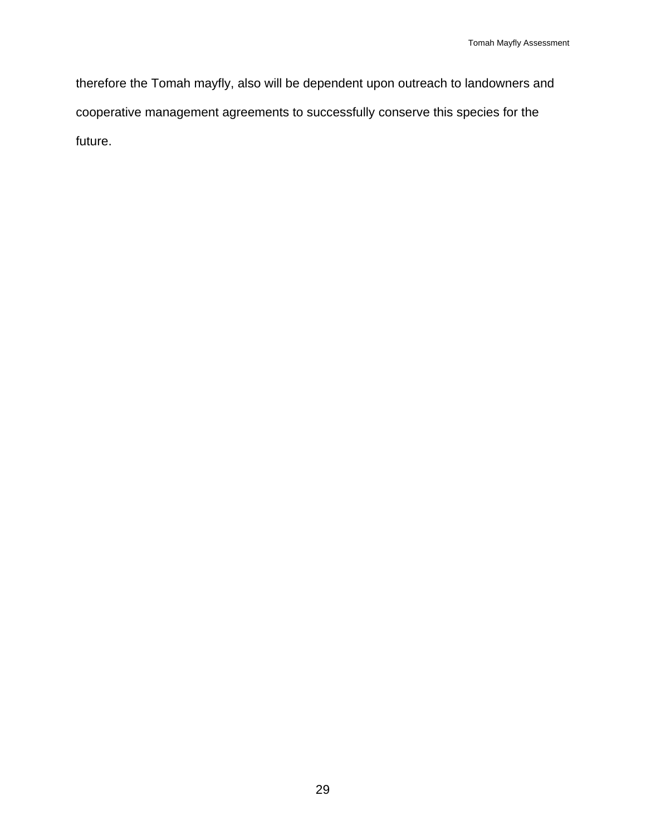therefore the Tomah mayfly, also will be dependent upon outreach to landowners and cooperative management agreements to successfully conserve this species for the future.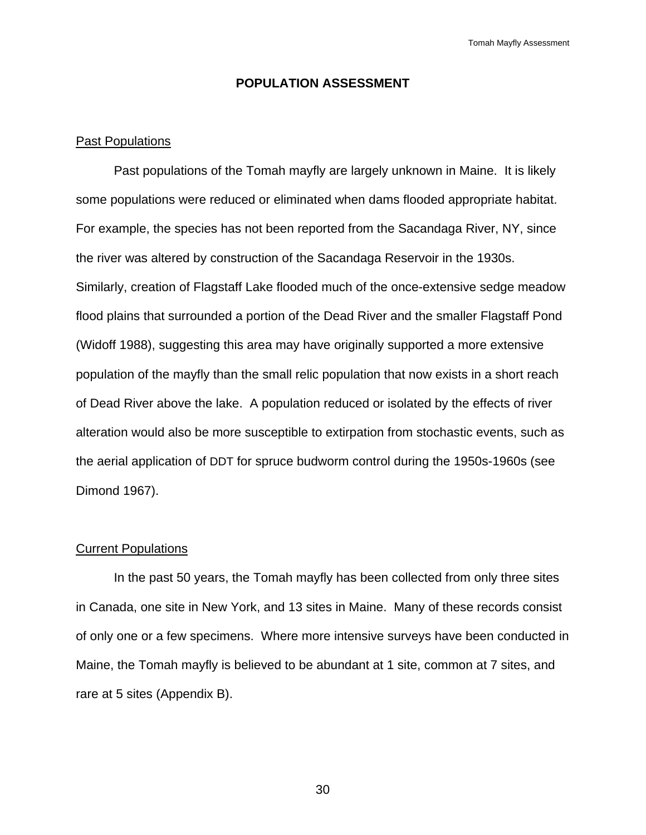## **POPULATION ASSESSMENT**

## Past Populations

Past populations of the Tomah mayfly are largely unknown in Maine. It is likely some populations were reduced or eliminated when dams flooded appropriate habitat. For example, the species has not been reported from the Sacandaga River, NY, since the river was altered by construction of the Sacandaga Reservoir in the 1930s. Similarly, creation of Flagstaff Lake flooded much of the once-extensive sedge meadow flood plains that surrounded a portion of the Dead River and the smaller Flagstaff Pond (Widoff 1988), suggesting this area may have originally supported a more extensive population of the mayfly than the small relic population that now exists in a short reach of Dead River above the lake. A population reduced or isolated by the effects of river alteration would also be more susceptible to extirpation from stochastic events, such as the aerial application of DDT for spruce budworm control during the 1950s-1960s (see Dimond 1967).

#### Current Populations

In the past 50 years, the Tomah mayfly has been collected from only three sites in Canada, one site in New York, and 13 sites in Maine. Many of these records consist of only one or a few specimens. Where more intensive surveys have been conducted in Maine, the Tomah mayfly is believed to be abundant at 1 site, common at 7 sites, and rare at 5 sites (Appendix B).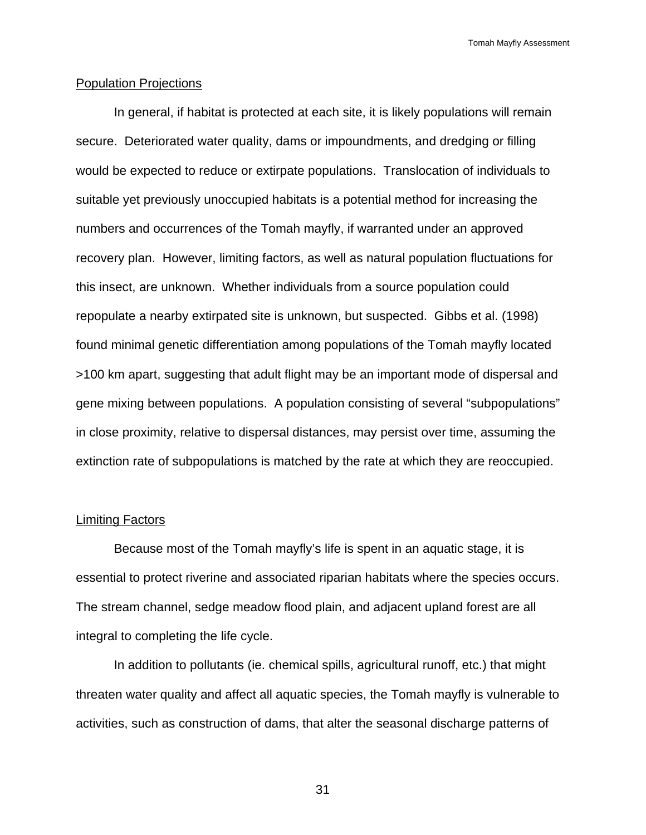### Population Projections

In general, if habitat is protected at each site, it is likely populations will remain secure. Deteriorated water quality, dams or impoundments, and dredging or filling would be expected to reduce or extirpate populations. Translocation of individuals to suitable yet previously unoccupied habitats is a potential method for increasing the numbers and occurrences of the Tomah mayfly, if warranted under an approved recovery plan. However, limiting factors, as well as natural population fluctuations for this insect, are unknown. Whether individuals from a source population could repopulate a nearby extirpated site is unknown, but suspected. Gibbs et al. (1998) found minimal genetic differentiation among populations of the Tomah mayfly located >100 km apart, suggesting that adult flight may be an important mode of dispersal and gene mixing between populations. A population consisting of several "subpopulations" in close proximity, relative to dispersal distances, may persist over time, assuming the extinction rate of subpopulations is matched by the rate at which they are reoccupied.

#### Limiting Factors

Because most of the Tomah mayfly's life is spent in an aquatic stage, it is essential to protect riverine and associated riparian habitats where the species occurs. The stream channel, sedge meadow flood plain, and adjacent upland forest are all integral to completing the life cycle.

In addition to pollutants (ie. chemical spills, agricultural runoff, etc.) that might threaten water quality and affect all aquatic species, the Tomah mayfly is vulnerable to activities, such as construction of dams, that alter the seasonal discharge patterns of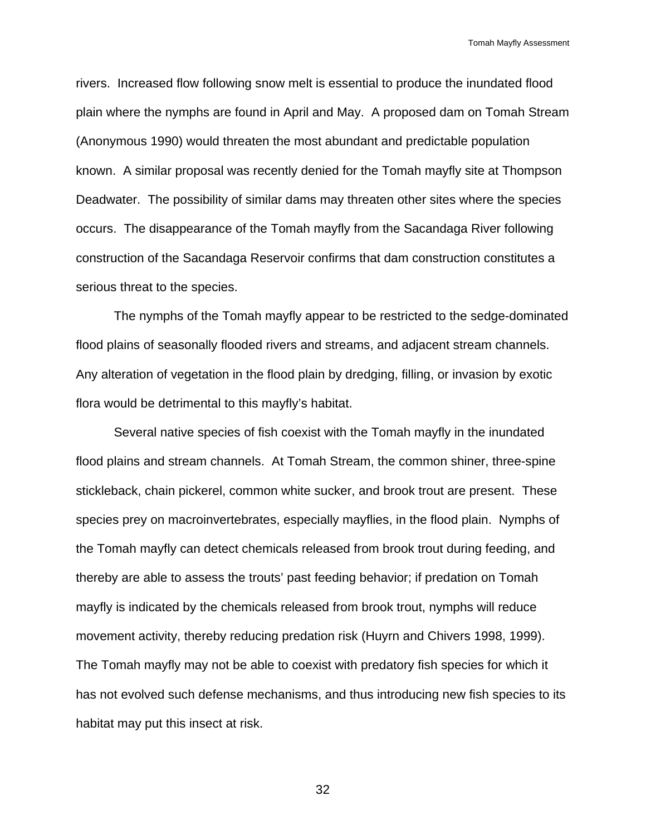rivers. Increased flow following snow melt is essential to produce the inundated flood plain where the nymphs are found in April and May. A proposed dam on Tomah Stream (Anonymous 1990) would threaten the most abundant and predictable population known. A similar proposal was recently denied for the Tomah mayfly site at Thompson Deadwater. The possibility of similar dams may threaten other sites where the species occurs. The disappearance of the Tomah mayfly from the Sacandaga River following construction of the Sacandaga Reservoir confirms that dam construction constitutes a serious threat to the species.

The nymphs of the Tomah mayfly appear to be restricted to the sedge-dominated flood plains of seasonally flooded rivers and streams, and adjacent stream channels. Any alteration of vegetation in the flood plain by dredging, filling, or invasion by exotic flora would be detrimental to this mayfly's habitat.

Several native species of fish coexist with the Tomah mayfly in the inundated flood plains and stream channels. At Tomah Stream, the common shiner, three-spine stickleback, chain pickerel, common white sucker, and brook trout are present. These species prey on macroinvertebrates, especially mayflies, in the flood plain. Nymphs of the Tomah mayfly can detect chemicals released from brook trout during feeding, and thereby are able to assess the trouts' past feeding behavior; if predation on Tomah mayfly is indicated by the chemicals released from brook trout, nymphs will reduce movement activity, thereby reducing predation risk (Huyrn and Chivers 1998, 1999). The Tomah mayfly may not be able to coexist with predatory fish species for which it has not evolved such defense mechanisms, and thus introducing new fish species to its habitat may put this insect at risk.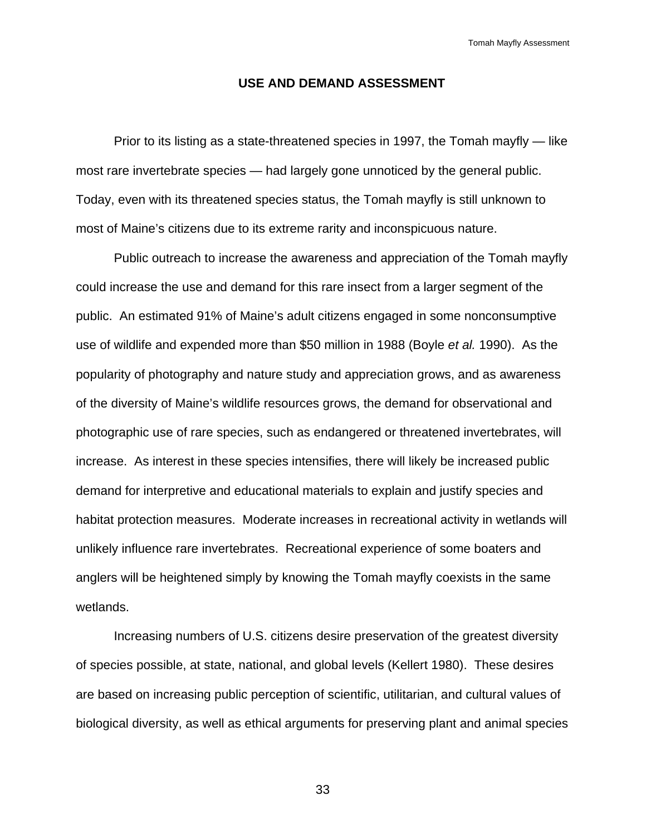### **USE AND DEMAND ASSESSMENT**

Prior to its listing as a state-threatened species in 1997, the Tomah mayfly — like most rare invertebrate species — had largely gone unnoticed by the general public. Today, even with its threatened species status, the Tomah mayfly is still unknown to most of Maine's citizens due to its extreme rarity and inconspicuous nature.

 Public outreach to increase the awareness and appreciation of the Tomah mayfly could increase the use and demand for this rare insect from a larger segment of the public. An estimated 91% of Maine's adult citizens engaged in some nonconsumptive use of wildlife and expended more than \$50 million in 1988 (Boyle *et al.* 1990). As the popularity of photography and nature study and appreciation grows, and as awareness of the diversity of Maine's wildlife resources grows, the demand for observational and photographic use of rare species, such as endangered or threatened invertebrates, will increase. As interest in these species intensifies, there will likely be increased public demand for interpretive and educational materials to explain and justify species and habitat protection measures. Moderate increases in recreational activity in wetlands will unlikely influence rare invertebrates. Recreational experience of some boaters and anglers will be heightened simply by knowing the Tomah mayfly coexists in the same wetlands.

 Increasing numbers of U.S. citizens desire preservation of the greatest diversity of species possible, at state, national, and global levels (Kellert 1980). These desires are based on increasing public perception of scientific, utilitarian, and cultural values of biological diversity, as well as ethical arguments for preserving plant and animal species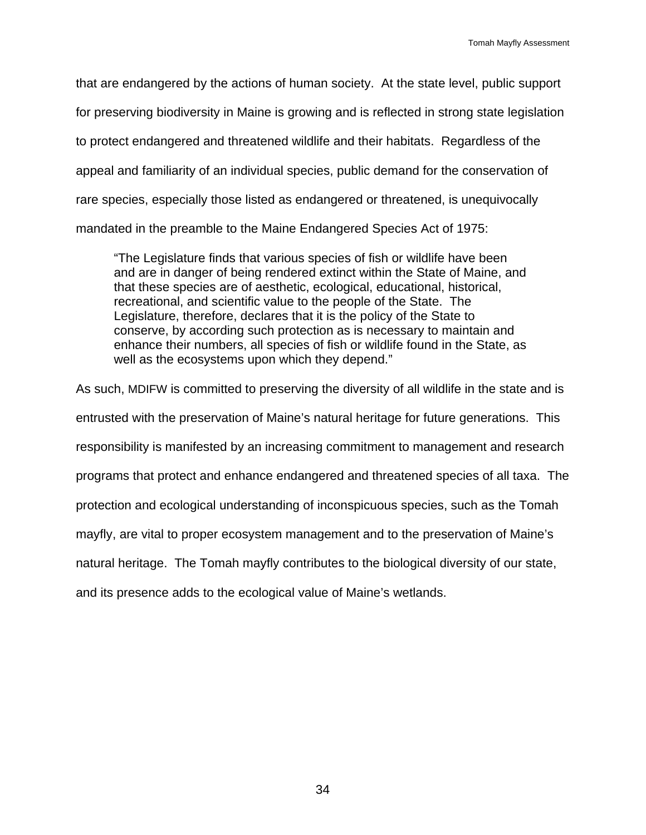that are endangered by the actions of human society. At the state level, public support for preserving biodiversity in Maine is growing and is reflected in strong state legislation to protect endangered and threatened wildlife and their habitats. Regardless of the appeal and familiarity of an individual species, public demand for the conservation of rare species, especially those listed as endangered or threatened, is unequivocally mandated in the preamble to the Maine Endangered Species Act of 1975:

"The Legislature finds that various species of fish or wildlife have been and are in danger of being rendered extinct within the State of Maine, and that these species are of aesthetic, ecological, educational, historical, recreational, and scientific value to the people of the State. The Legislature, therefore, declares that it is the policy of the State to conserve, by according such protection as is necessary to maintain and enhance their numbers, all species of fish or wildlife found in the State, as well as the ecosystems upon which they depend."

As such, MDIFW is committed to preserving the diversity of all wildlife in the state and is entrusted with the preservation of Maine's natural heritage for future generations. This responsibility is manifested by an increasing commitment to management and research programs that protect and enhance endangered and threatened species of all taxa. The protection and ecological understanding of inconspicuous species, such as the Tomah mayfly, are vital to proper ecosystem management and to the preservation of Maine's natural heritage. The Tomah mayfly contributes to the biological diversity of our state,

and its presence adds to the ecological value of Maine's wetlands.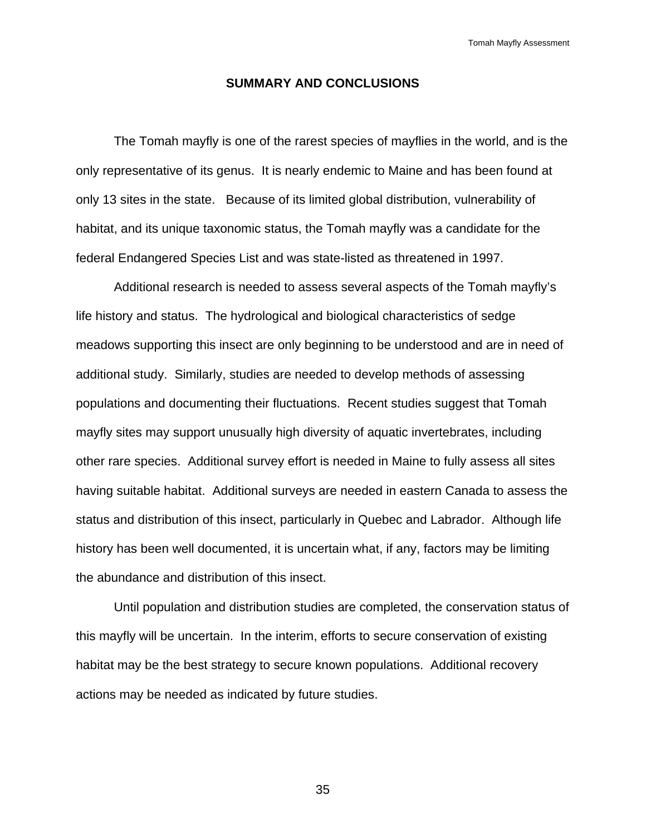### **SUMMARY AND CONCLUSIONS**

The Tomah mayfly is one of the rarest species of mayflies in the world, and is the only representative of its genus. It is nearly endemic to Maine and has been found at only 13 sites in the state. Because of its limited global distribution, vulnerability of habitat, and its unique taxonomic status, the Tomah mayfly was a candidate for the federal Endangered Species List and was state-listed as threatened in 1997.

Additional research is needed to assess several aspects of the Tomah mayfly's life history and status. The hydrological and biological characteristics of sedge meadows supporting this insect are only beginning to be understood and are in need of additional study. Similarly, studies are needed to develop methods of assessing populations and documenting their fluctuations. Recent studies suggest that Tomah mayfly sites may support unusually high diversity of aquatic invertebrates, including other rare species. Additional survey effort is needed in Maine to fully assess all sites having suitable habitat. Additional surveys are needed in eastern Canada to assess the status and distribution of this insect, particularly in Quebec and Labrador. Although life history has been well documented, it is uncertain what, if any, factors may be limiting the abundance and distribution of this insect.

Until population and distribution studies are completed, the conservation status of this mayfly will be uncertain. In the interim, efforts to secure conservation of existing habitat may be the best strategy to secure known populations. Additional recovery actions may be needed as indicated by future studies.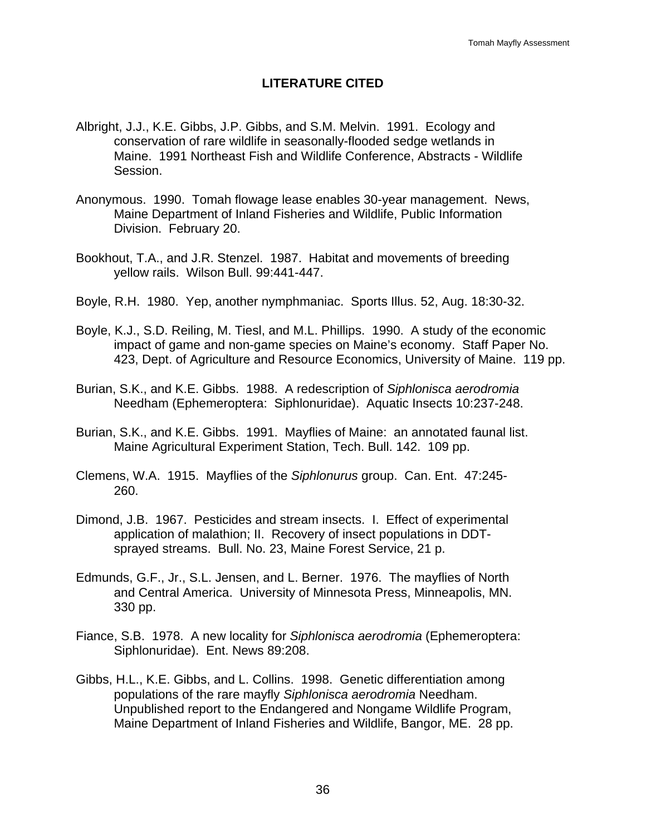# **LITERATURE CITED**

- Albright, J.J., K.E. Gibbs, J.P. Gibbs, and S.M. Melvin. 1991. Ecology and conservation of rare wildlife in seasonally-flooded sedge wetlands in Maine. 1991 Northeast Fish and Wildlife Conference, Abstracts - Wildlife Session.
- Anonymous. 1990. Tomah flowage lease enables 30-year management. News, Maine Department of Inland Fisheries and Wildlife, Public Information Division. February 20.
- Bookhout, T.A., and J.R. Stenzel. 1987. Habitat and movements of breeding yellow rails. Wilson Bull. 99:441-447.
- Boyle, R.H. 1980. Yep, another nymphmaniac. Sports Illus. 52, Aug. 18:30-32.
- Boyle, K.J., S.D. Reiling, M. Tiesl, and M.L. Phillips. 1990. A study of the economic impact of game and non-game species on Maine's economy. Staff Paper No. 423, Dept. of Agriculture and Resource Economics, University of Maine. 119 pp.
- Burian, S.K., and K.E. Gibbs. 1988. A redescription of *Siphlonisca aerodromia* Needham (Ephemeroptera: Siphlonuridae). Aquatic Insects 10:237-248.
- Burian, S.K., and K.E. Gibbs. 1991. Mayflies of Maine: an annotated faunal list. Maine Agricultural Experiment Station, Tech. Bull. 142. 109 pp.
- Clemens, W.A. 1915. Mayflies of the *Siphlonurus* group. Can. Ent. 47:245- 260.
- Dimond, J.B. 1967. Pesticides and stream insects. I. Effect of experimental application of malathion; II. Recovery of insect populations in DDTsprayed streams. Bull. No. 23, Maine Forest Service, 21 p.
- Edmunds, G.F., Jr., S.L. Jensen, and L. Berner. 1976. The mayflies of North and Central America. University of Minnesota Press, Minneapolis, MN. 330 pp.
- Fiance, S.B. 1978. A new locality for *Siphlonisca aerodromia* (Ephemeroptera: Siphlonuridae). Ent. News 89:208.
- Gibbs, H.L., K.E. Gibbs, and L. Collins. 1998. Genetic differentiation among populations of the rare mayfly *Siphlonisca aerodromia* Needham. Unpublished report to the Endangered and Nongame Wildlife Program, Maine Department of Inland Fisheries and Wildlife, Bangor, ME. 28 pp.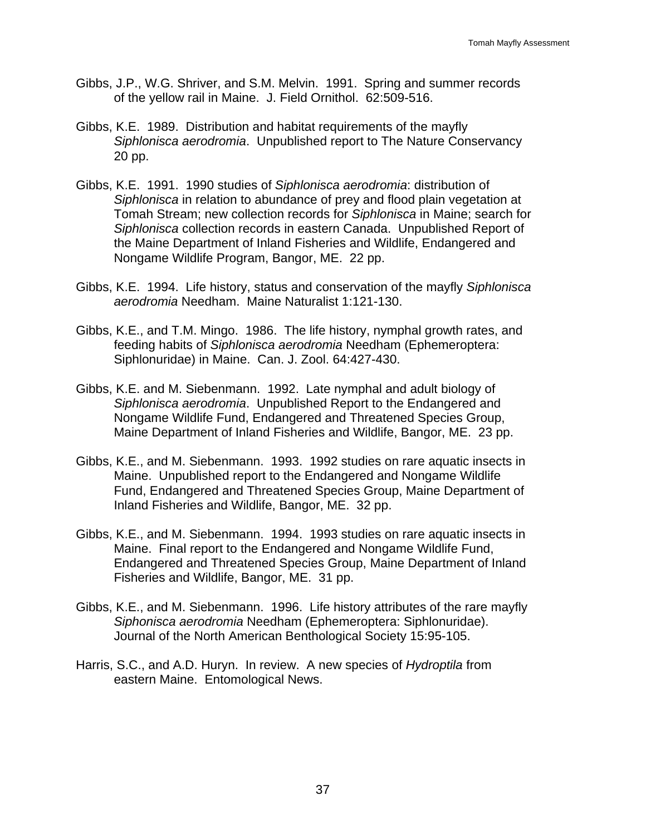- Gibbs, J.P., W.G. Shriver, and S.M. Melvin. 1991. Spring and summer records of the yellow rail in Maine. J. Field Ornithol. 62:509-516.
- Gibbs, K.E. 1989. Distribution and habitat requirements of the mayfly *Siphlonisca aerodromia*. Unpublished report to The Nature Conservancy 20 pp.
- Gibbs, K.E. 1991. 1990 studies of *Siphlonisca aerodromia*: distribution of *Siphlonisca* in relation to abundance of prey and flood plain vegetation at Tomah Stream; new collection records for *Siphlonisca* in Maine; search for *Siphlonisca* collection records in eastern Canada. Unpublished Report of the Maine Department of Inland Fisheries and Wildlife, Endangered and Nongame Wildlife Program, Bangor, ME. 22 pp.
- Gibbs, K.E. 1994. Life history, status and conservation of the mayfly *Siphlonisca aerodromia* Needham. Maine Naturalist 1:121-130.
- Gibbs, K.E., and T.M. Mingo. 1986. The life history, nymphal growth rates, and feeding habits of *Siphlonisca aerodromia* Needham (Ephemeroptera: Siphlonuridae) in Maine. Can. J. Zool. 64:427-430.
- Gibbs, K.E. and M. Siebenmann. 1992. Late nymphal and adult biology of *Siphlonisca aerodromia*. Unpublished Report to the Endangered and Nongame Wildlife Fund, Endangered and Threatened Species Group, Maine Department of Inland Fisheries and Wildlife, Bangor, ME. 23 pp.
- Gibbs, K.E., and M. Siebenmann. 1993. 1992 studies on rare aquatic insects in Maine. Unpublished report to the Endangered and Nongame Wildlife Fund, Endangered and Threatened Species Group, Maine Department of Inland Fisheries and Wildlife, Bangor, ME. 32 pp.
- Gibbs, K.E., and M. Siebenmann. 1994. 1993 studies on rare aquatic insects in Maine. Final report to the Endangered and Nongame Wildlife Fund, Endangered and Threatened Species Group, Maine Department of Inland Fisheries and Wildlife, Bangor, ME. 31 pp.
- Gibbs, K.E., and M. Siebenmann. 1996. Life history attributes of the rare mayfly *Siphonisca aerodromia* Needham (Ephemeroptera: Siphlonuridae). Journal of the North American Benthological Society 15:95-105.
- Harris, S.C., and A.D. Huryn. In review. A new species of *Hydroptila* from eastern Maine. Entomological News.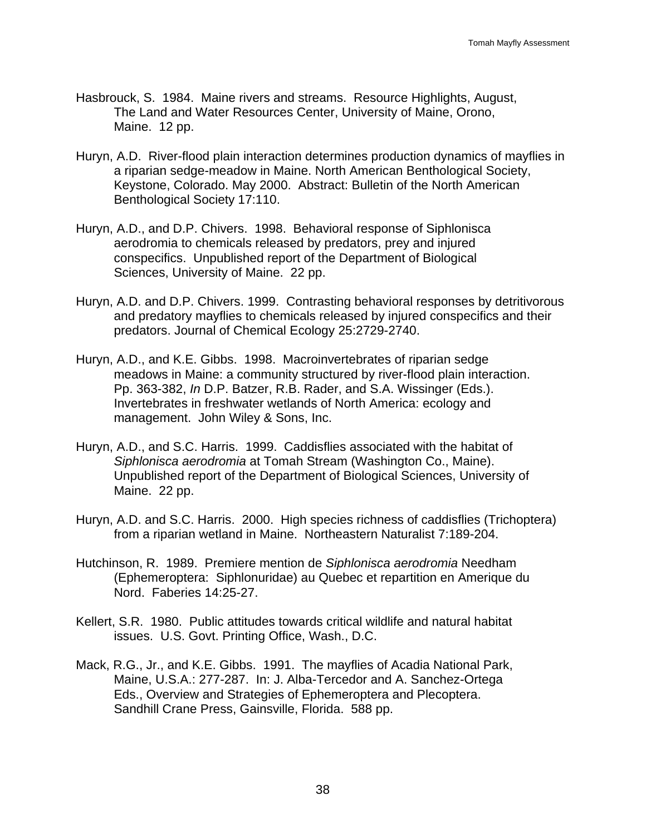- Hasbrouck, S. 1984. Maine rivers and streams. Resource Highlights, August, The Land and Water Resources Center, University of Maine, Orono, Maine. 12 pp.
- Huryn, A.D. River-flood plain interaction determines production dynamics of mayflies in a riparian sedge-meadow in Maine. North American Benthological Society, Keystone, Colorado. May 2000. Abstract: Bulletin of the North American Benthological Society 17:110.
- Huryn, A.D., and D.P. Chivers. 1998. Behavioral response of Siphlonisca aerodromia to chemicals released by predators, prey and injured conspecifics. Unpublished report of the Department of Biological Sciences, University of Maine. 22 pp.
- Huryn, A.D. and D.P. Chivers. 1999. Contrasting behavioral responses by detritivorous and predatory mayflies to chemicals released by injured conspecifics and their predators. Journal of Chemical Ecology 25:2729-2740.
- Huryn, A.D., and K.E. Gibbs. 1998. Macroinvertebrates of riparian sedge meadows in Maine: a community structured by river-flood plain interaction. Pp. 363-382, *In* D.P. Batzer, R.B. Rader, and S.A. Wissinger (Eds.). Invertebrates in freshwater wetlands of North America: ecology and management. John Wiley & Sons, Inc.
- Huryn, A.D., and S.C. Harris. 1999. Caddisflies associated with the habitat of *Siphlonisca aerodromia* at Tomah Stream (Washington Co., Maine). Unpublished report of the Department of Biological Sciences, University of Maine. 22 pp.
- Huryn, A.D. and S.C. Harris. 2000. High species richness of caddisflies (Trichoptera) from a riparian wetland in Maine. Northeastern Naturalist 7:189-204.
- Hutchinson, R. 1989. Premiere mention de *Siphlonisca aerodromia* Needham (Ephemeroptera: Siphlonuridae) au Quebec et repartition en Amerique du Nord. Faberies 14:25-27.
- Kellert, S.R. 1980. Public attitudes towards critical wildlife and natural habitat issues. U.S. Govt. Printing Office, Wash., D.C.
- Mack, R.G., Jr., and K.E. Gibbs. 1991. The mayflies of Acadia National Park, Maine, U.S.A.: 277-287. In: J. Alba-Tercedor and A. Sanchez-Ortega Eds., Overview and Strategies of Ephemeroptera and Plecoptera. Sandhill Crane Press, Gainsville, Florida. 588 pp.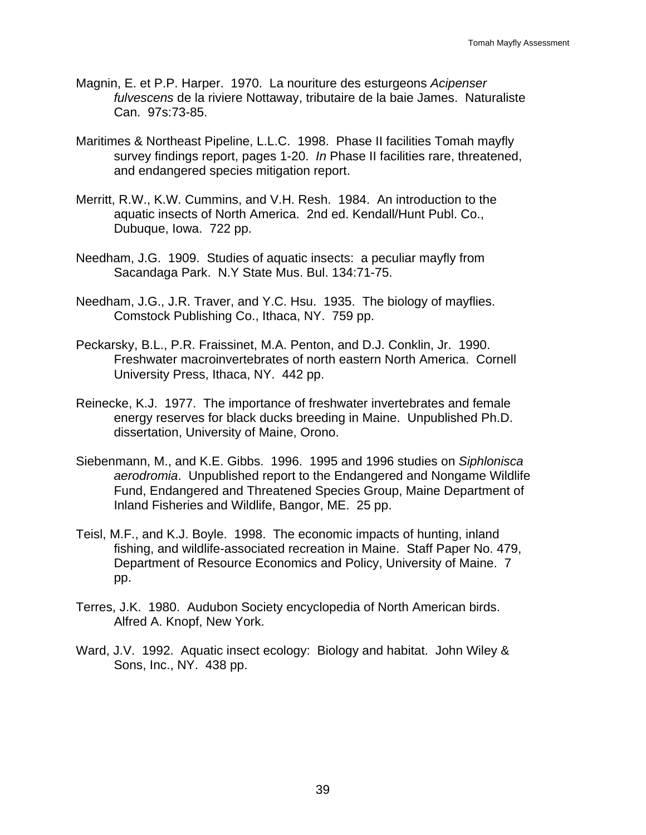- Magnin, E. et P.P. Harper. 1970. La nouriture des esturgeons *Acipenser fulvescens* de la riviere Nottaway, tributaire de la baie James. Naturaliste Can. 97s:73-85.
- Maritimes & Northeast Pipeline, L.L.C. 1998. Phase II facilities Tomah mayfly survey findings report, pages 1-20. *In* Phase II facilities rare, threatened, and endangered species mitigation report.
- Merritt, R.W., K.W. Cummins, and V.H. Resh. 1984. An introduction to the aquatic insects of North America. 2nd ed. Kendall/Hunt Publ. Co., Dubuque, Iowa. 722 pp.
- Needham, J.G. 1909. Studies of aquatic insects: a peculiar mayfly from Sacandaga Park. N.Y State Mus. Bul. 134:71-75.
- Needham, J.G., J.R. Traver, and Y.C. Hsu. 1935. The biology of mayflies. Comstock Publishing Co., Ithaca, NY. 759 pp.
- Peckarsky, B.L., P.R. Fraissinet, M.A. Penton, and D.J. Conklin, Jr. 1990. Freshwater macroinvertebrates of north eastern North America. Cornell University Press, Ithaca, NY. 442 pp.
- Reinecke, K.J. 1977. The importance of freshwater invertebrates and female energy reserves for black ducks breeding in Maine. Unpublished Ph.D. dissertation, University of Maine, Orono.
- Siebenmann, M., and K.E. Gibbs. 1996. 1995 and 1996 studies on *Siphlonisca aerodromia*. Unpublished report to the Endangered and Nongame Wildlife Fund, Endangered and Threatened Species Group, Maine Department of Inland Fisheries and Wildlife, Bangor, ME. 25 pp.
- Teisl, M.F., and K.J. Boyle. 1998. The economic impacts of hunting, inland fishing, and wildlife-associated recreation in Maine. Staff Paper No. 479, Department of Resource Economics and Policy, University of Maine. 7 pp.
- Terres, J.K. 1980. Audubon Society encyclopedia of North American birds. Alfred A. Knopf, New York.
- Ward, J.V. 1992. Aquatic insect ecology: Biology and habitat. John Wiley & Sons, Inc., NY. 438 pp.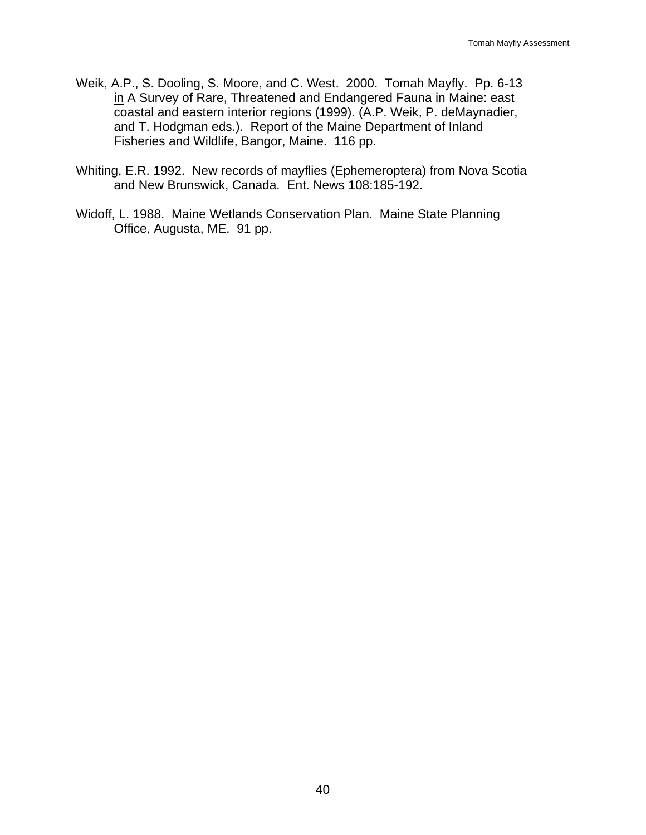- Weik, A.P., S. Dooling, S. Moore, and C. West. 2000. Tomah Mayfly. Pp. 6-13 in A Survey of Rare, Threatened and Endangered Fauna in Maine: east coastal and eastern interior regions (1999). (A.P. Weik, P. deMaynadier, and T. Hodgman eds.). Report of the Maine Department of Inland Fisheries and Wildlife, Bangor, Maine. 116 pp.
- Whiting, E.R. 1992. New records of mayflies (Ephemeroptera) from Nova Scotia and New Brunswick, Canada. Ent. News 108:185-192.
- Widoff, L. 1988. Maine Wetlands Conservation Plan. Maine State Planning Office, Augusta, ME. 91 pp.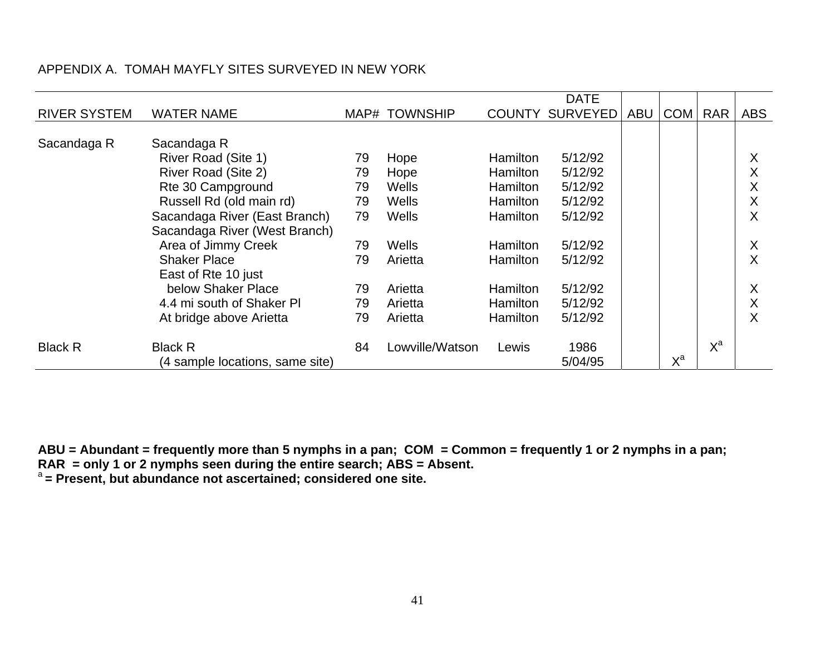# APPENDIX A. TOMAH MAYFLY SITES SURVEYED IN NEW YORK

|                     |                                 |    |                 |                 | <b>DATE</b>     |            |            |            |            |
|---------------------|---------------------------------|----|-----------------|-----------------|-----------------|------------|------------|------------|------------|
| <b>RIVER SYSTEM</b> | <b>WATER NAME</b>               |    | MAP# TOWNSHIP   | <b>COUNTY</b>   | <b>SURVEYED</b> | <b>ABU</b> | <b>COM</b> | <b>RAR</b> | <b>ABS</b> |
|                     |                                 |    |                 |                 |                 |            |            |            |            |
| Sacandaga R         | Sacandaga R                     |    |                 |                 |                 |            |            |            |            |
|                     | River Road (Site 1)             | 79 | Hope            | <b>Hamilton</b> | 5/12/92         |            |            |            | X          |
|                     | River Road (Site 2)             | 79 | Hope            | <b>Hamilton</b> | 5/12/92         |            |            |            | Χ          |
|                     | Rte 30 Campground               | 79 | Wells           | <b>Hamilton</b> | 5/12/92         |            |            |            | Χ          |
|                     | Russell Rd (old main rd)        | 79 | Wells           | <b>Hamilton</b> | 5/12/92         |            |            |            | Χ          |
|                     | Sacandaga River (East Branch)   | 79 | Wells           | <b>Hamilton</b> | 5/12/92         |            |            |            | X          |
|                     | Sacandaga River (West Branch)   |    |                 |                 |                 |            |            |            |            |
|                     | Area of Jimmy Creek             | 79 | <b>Wells</b>    | <b>Hamilton</b> | 5/12/92         |            |            |            | X          |
|                     | <b>Shaker Place</b>             | 79 | Arietta         | <b>Hamilton</b> | 5/12/92         |            |            |            | X          |
|                     | East of Rte 10 just             |    |                 |                 |                 |            |            |            |            |
|                     | below Shaker Place              | 79 | Arietta         | <b>Hamilton</b> | 5/12/92         |            |            |            | X          |
|                     | 4.4 mi south of Shaker PI       | 79 | Arietta         | <b>Hamilton</b> | 5/12/92         |            |            |            | Χ          |
|                     | At bridge above Arietta         | 79 | Arietta         | <b>Hamilton</b> | 5/12/92         |            |            |            | X          |
| <b>Black R</b>      | <b>Black R</b>                  | 84 | Lowville/Watson | Lewis           | 1986            |            |            | $X^a$      |            |
|                     | (4 sample locations, same site) |    |                 |                 | 5/04/95         |            | $X^a$      |            |            |

**ABU = Abundant = frequently more than 5 nymphs in a pan; COM = Common = frequently 1 or 2 nymphs in a pan;** 

**RAR = only 1 or 2 nymphs seen during the entire search; ABS = Absent.** 

<sup>a</sup>**= Present, but abundance not ascertained; considered one site.**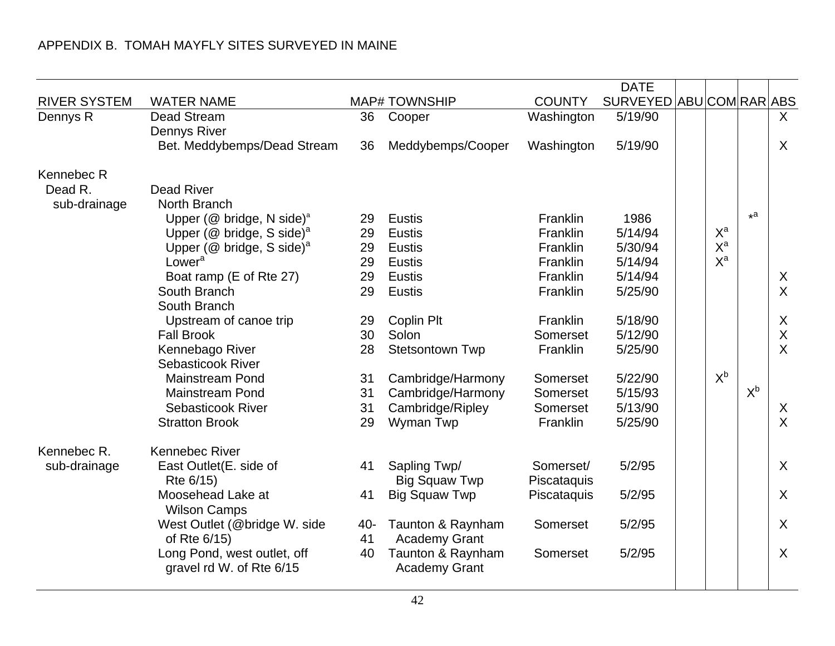## APPENDIX B. TOMAH MAYFLY SITES SURVEYED IN MAINE

|                     |                                          |        |                      |               | <b>DATE</b>             |       |           |                |
|---------------------|------------------------------------------|--------|----------------------|---------------|-------------------------|-------|-----------|----------------|
| <b>RIVER SYSTEM</b> | <b>WATER NAME</b>                        |        | <b>MAP# TOWNSHIP</b> | <b>COUNTY</b> | SURVEYED ABUCOM RAR ABS |       |           |                |
| Dennys R            | Dead Stream                              | 36     | Cooper               | Washington    | 5/19/90                 |       |           | $\sf X$        |
|                     | <b>Dennys River</b>                      |        |                      |               |                         |       |           |                |
|                     | Bet. Meddybemps/Dead Stream              | 36     | Meddybemps/Cooper    | Washington    | 5/19/90                 |       |           | $\sf X$        |
|                     |                                          |        |                      |               |                         |       |           |                |
| Kennebec R          |                                          |        |                      |               |                         |       |           |                |
| Dead R.             | <b>Dead River</b>                        |        |                      |               |                         |       |           |                |
| sub-drainage        | North Branch                             |        |                      |               |                         |       | $\star$ a |                |
|                     | Upper ( $@$ bridge, N side) <sup>a</sup> | 29     | <b>Eustis</b>        | Franklin      | 1986                    |       |           |                |
|                     | Upper ( $@$ bridge, S side) <sup>a</sup> | 29     | <b>Eustis</b>        | Franklin      | 5/14/94                 | $X^a$ |           |                |
|                     | Upper ( $@$ bridge, S side) <sup>a</sup> | 29     | <b>Eustis</b>        | Franklin      | 5/30/94                 | $X^a$ |           |                |
|                     | Lower <sup>a</sup>                       | 29     | <b>Eustis</b>        | Franklin      | 5/14/94                 | $X^a$ |           |                |
|                     | Boat ramp (E of Rte 27)                  | 29     | <b>Eustis</b>        | Franklin      | 5/14/94                 |       |           | X              |
|                     | South Branch                             | 29     | <b>Eustis</b>        | Franklin      | 5/25/90                 |       |           | $\overline{X}$ |
|                     | South Branch                             |        |                      |               |                         |       |           |                |
|                     | Upstream of canoe trip                   | 29     | <b>Coplin Plt</b>    | Franklin      | 5/18/90                 |       |           | X              |
|                     | <b>Fall Brook</b>                        | 30     | Solon                | Somerset      | 5/12/90                 |       |           | $\sf X$        |
|                     | Kennebago River                          | 28     | Stetsontown Twp      | Franklin      | 5/25/90                 |       |           | $\sf X$        |
|                     | <b>Sebasticook River</b>                 |        |                      |               |                         |       |           |                |
|                     | <b>Mainstream Pond</b>                   | 31     | Cambridge/Harmony    | Somerset      | 5/22/90                 | $X^b$ |           |                |
|                     | <b>Mainstream Pond</b>                   | 31     | Cambridge/Harmony    | Somerset      | 5/15/93                 |       | $X^b$     |                |
|                     | <b>Sebasticook River</b>                 | 31     | Cambridge/Ripley     | Somerset      | 5/13/90                 |       |           | X              |
|                     | <b>Stratton Brook</b>                    | 29     | Wyman Twp            | Franklin      | 5/25/90                 |       |           | $\mathsf{X}$   |
|                     |                                          |        |                      |               |                         |       |           |                |
| Kennebec R.         | <b>Kennebec River</b>                    |        |                      |               |                         |       |           |                |
| sub-drainage        | East Outlet (E. side of                  | 41     | Sapling Twp/         | Somerset/     | 5/2/95                  |       |           | X              |
|                     | Rte 6/15)                                |        | <b>Big Squaw Twp</b> | Piscataquis   |                         |       |           |                |
|                     | Moosehead Lake at                        | 41     | <b>Big Squaw Twp</b> | Piscataquis   | 5/2/95                  |       |           | X              |
|                     | <b>Wilson Camps</b>                      |        |                      |               |                         |       |           |                |
|                     | West Outlet (@bridge W. side             | $40 -$ | Taunton & Raynham    | Somerset      | 5/2/95                  |       |           | X              |
|                     | of Rte 6/15)                             | 41     | <b>Academy Grant</b> |               |                         |       |           |                |
|                     | Long Pond, west outlet, off              | 40     | Taunton & Raynham    | Somerset      | 5/2/95                  |       |           | $\sf X$        |
|                     | gravel rd W. of Rte 6/15                 |        | <b>Academy Grant</b> |               |                         |       |           |                |
|                     |                                          |        |                      |               |                         |       |           |                |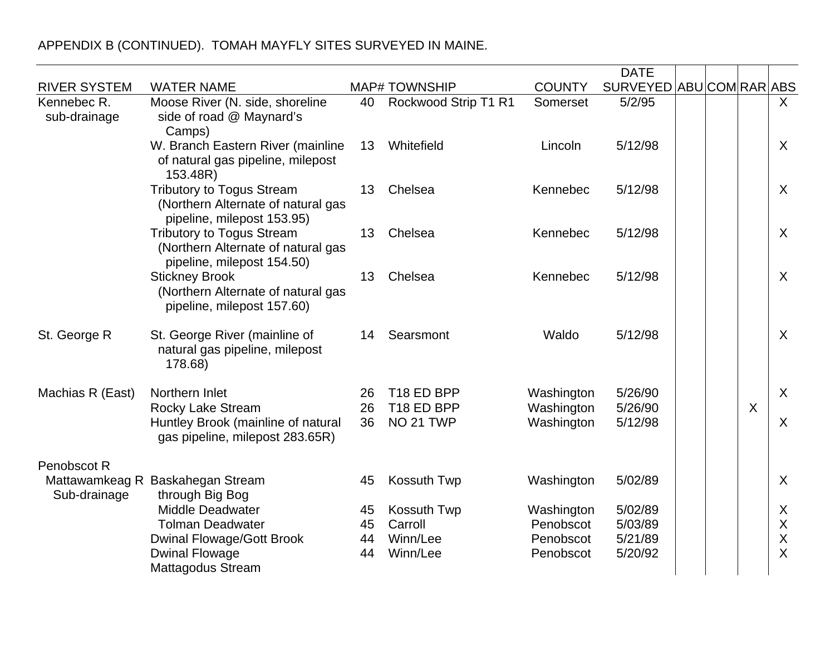|                             |                                                                                                      |          |                                |                          | <b>DATE</b>              |  |         |                |
|-----------------------------|------------------------------------------------------------------------------------------------------|----------|--------------------------------|--------------------------|--------------------------|--|---------|----------------|
| <b>RIVER SYSTEM</b>         | <b>WATER NAME</b>                                                                                    |          | <b>MAP# TOWNSHIP</b>           | <b>COUNTY</b>            | SURVEYED ABU COM RAR ABS |  |         |                |
| Kennebec R.<br>sub-drainage | Moose River (N. side, shoreline<br>side of road @ Maynard's<br>Camps)                                | 40       | Rockwood Strip T1 R1           | Somerset                 | 5/2/95                   |  |         | $\mathsf{X}$   |
|                             | W. Branch Eastern River (mainline<br>of natural gas pipeline, milepost<br>153.48R)                   | 13       | Whitefield                     | Lincoln                  | 5/12/98                  |  |         | X              |
|                             | <b>Tributory to Togus Stream</b><br>(Northern Alternate of natural gas<br>pipeline, milepost 153.95) | 13       | Chelsea                        | Kennebec                 | 5/12/98                  |  |         | X              |
|                             | <b>Tributory to Togus Stream</b><br>(Northern Alternate of natural gas<br>pipeline, milepost 154.50) | 13       | Chelsea                        | Kennebec                 | 5/12/98                  |  |         | X              |
|                             | <b>Stickney Brook</b><br>(Northern Alternate of natural gas<br>pipeline, milepost 157.60)            | 13       | Chelsea                        | Kennebec                 | 5/12/98                  |  |         | X              |
| St. George R                | St. George River (mainline of<br>natural gas pipeline, milepost<br>178.68)                           | 14       | Searsmont                      | Waldo                    | 5/12/98                  |  |         | $\sf X$        |
| Machias R (East)            | Northern Inlet                                                                                       | 26       | T18 ED BPP                     | Washington               | 5/26/90                  |  |         | X              |
|                             | <b>Rocky Lake Stream</b><br>Huntley Brook (mainline of natural<br>gas pipeline, milepost 283.65R)    | 26<br>36 | T18 ED BPP<br><b>NO 21 TWP</b> | Washington<br>Washington | 5/26/90<br>5/12/98       |  | $\sf X$ | X              |
| Penobscot R                 |                                                                                                      |          |                                |                          |                          |  |         |                |
| Sub-drainage                | Mattawamkeag R Baskahegan Stream<br>through Big Bog                                                  | 45       | <b>Kossuth Twp</b>             | Washington               | 5/02/89                  |  |         | X              |
|                             | <b>Middle Deadwater</b>                                                                              | 45       | <b>Kossuth Twp</b>             | Washington               | 5/02/89                  |  |         | X              |
|                             | <b>Tolman Deadwater</b>                                                                              | 45       | Carroll                        | Penobscot                | 5/03/89                  |  |         | $\mathsf X$    |
|                             | <b>Dwinal Flowage/Gott Brook</b>                                                                     | 44       | Winn/Lee                       | Penobscot                | 5/21/89                  |  |         | $\sf X$        |
|                             | <b>Dwinal Flowage</b><br><b>Mattagodus Stream</b>                                                    | 44       | Winn/Lee                       | Penobscot                | 5/20/92                  |  |         | $\overline{X}$ |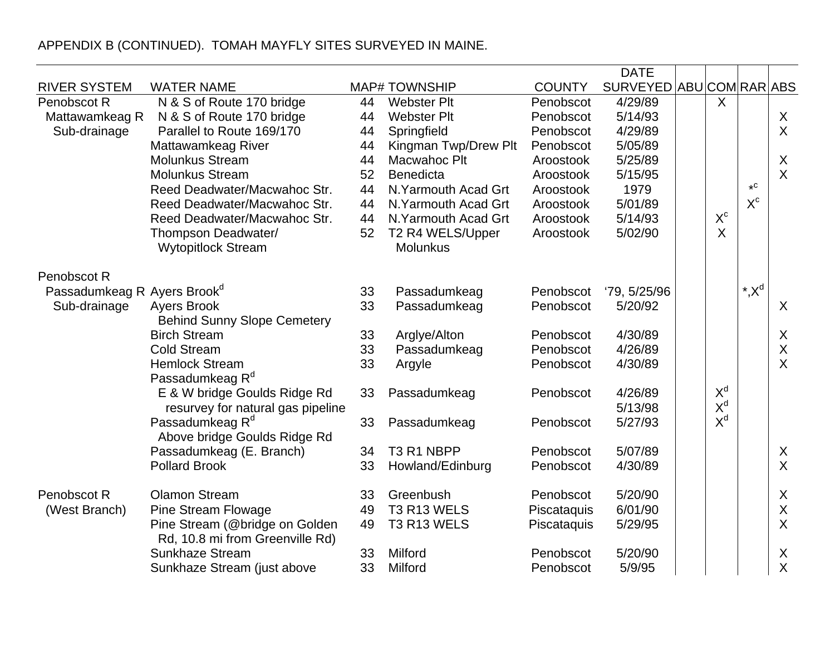|                                         |                                    |    |                      |               | <b>DATE</b>              |                         |                    |                         |
|-----------------------------------------|------------------------------------|----|----------------------|---------------|--------------------------|-------------------------|--------------------|-------------------------|
| <b>RIVER SYSTEM</b>                     | <b>WATER NAME</b>                  |    | <b>MAP# TOWNSHIP</b> | <b>COUNTY</b> | SURVEYED ABU COM RAR ABS |                         |                    |                         |
| Penobscot R                             | N & S of Route 170 bridge          | 44 | <b>Webster Plt</b>   | Penobscot     | 4/29/89                  | $\sf X$                 |                    |                         |
| Mattawamkeag R                          | N & S of Route 170 bridge          | 44 | <b>Webster Plt</b>   | Penobscot     | 5/14/93                  |                         |                    | X                       |
| Sub-drainage                            | Parallel to Route 169/170          | 44 | Springfield          | Penobscot     | 4/29/89                  |                         |                    | X                       |
|                                         | Mattawamkeag River                 | 44 | Kingman Twp/Drew Plt | Penobscot     | 5/05/89                  |                         |                    |                         |
|                                         | <b>Molunkus Stream</b>             | 44 | <b>Macwahoc Plt</b>  | Aroostook     | 5/25/89                  |                         |                    | X                       |
|                                         | <b>Molunkus Stream</b>             | 52 | Benedicta            | Aroostook     | 5/15/95                  |                         |                    | $\sf X$                 |
|                                         | Reed Deadwater/Macwahoc Str.       | 44 | N.Yarmouth Acad Grt  | Aroostook     | 1979                     |                         | $\star {\tt C}$    |                         |
|                                         | Reed Deadwater/Macwahoc Str.       | 44 | N.Yarmouth Acad Grt  | Aroostook     | 5/01/89                  |                         | $X^c$              |                         |
|                                         | Reed Deadwater/Macwahoc Str.       | 44 | N. Yarmouth Acad Grt | Aroostook     | 5/14/93                  | $\mathsf{X}^\mathtt{c}$ |                    |                         |
|                                         | Thompson Deadwater/                | 52 | T2 R4 WELS/Upper     | Aroostook     | 5/02/90                  | X                       |                    |                         |
|                                         | <b>Wytopitlock Stream</b>          |    | <b>Molunkus</b>      |               |                          |                         |                    |                         |
| Penobscot R                             |                                    |    |                      |               |                          |                         |                    |                         |
| Passadumkeag R Ayers Brook <sup>d</sup> |                                    | 33 | Passadumkeag         | Penobscot     | '79, 5/25/96             |                         | $^{\star}$ , $X^d$ |                         |
| Sub-drainage                            | <b>Ayers Brook</b>                 | 33 | Passadumkeag         | Penobscot     | 5/20/92                  |                         |                    | X                       |
|                                         | <b>Behind Sunny Slope Cemetery</b> |    |                      |               |                          |                         |                    |                         |
|                                         | <b>Birch Stream</b>                | 33 | Arglye/Alton         | Penobscot     | 4/30/89                  |                         |                    | $\mathsf X$             |
|                                         | <b>Cold Stream</b>                 | 33 | Passadumkeag         | Penobscot     | 4/26/89                  |                         |                    | $\sf X$                 |
|                                         | <b>Hemlock Stream</b>              | 33 | Argyle               | Penobscot     | 4/30/89                  |                         |                    | $\overline{\mathsf{X}}$ |
|                                         | Passadumkeag R <sup>d</sup>        |    |                      |               |                          |                         |                    |                         |
|                                         | E & W bridge Goulds Ridge Rd       | 33 | Passadumkeag         | Penobscot     | 4/26/89                  | X <sup>d</sup>          |                    |                         |
|                                         | resurvey for natural gas pipeline  |    |                      |               | 5/13/98                  | X <sup>d</sup>          |                    |                         |
|                                         | Passadumkeag R <sup>d</sup>        | 33 | Passadumkeag         | Penobscot     | 5/27/93                  | $X^d$                   |                    |                         |
|                                         | Above bridge Goulds Ridge Rd       |    |                      |               |                          |                         |                    |                         |
|                                         | Passadumkeag (E. Branch)           | 34 | T3 R1 NBPP           | Penobscot     | 5/07/89                  |                         |                    | X                       |
|                                         | <b>Pollard Brook</b>               | 33 | Howland/Edinburg     | Penobscot     | 4/30/89                  |                         |                    | $\mathsf{X}$            |
| Penobscot R                             | <b>Olamon Stream</b>               | 33 | Greenbush            | Penobscot     | 5/20/90                  |                         |                    | X                       |
| (West Branch)                           | <b>Pine Stream Flowage</b>         | 49 | T3 R13 WELS          | Piscataquis   | 6/01/90                  |                         |                    | $\mathsf X$             |
|                                         | Pine Stream (@bridge on Golden     | 49 | T3 R13 WELS          | Piscataquis   | 5/29/95                  |                         |                    | $\overline{\mathsf{X}}$ |
|                                         | Rd, 10.8 mi from Greenville Rd)    |    |                      |               |                          |                         |                    |                         |
|                                         | Sunkhaze Stream                    | 33 | Milford              | Penobscot     | 5/20/90                  |                         |                    | X                       |
|                                         | Sunkhaze Stream (just above        | 33 | Milford              | Penobscot     | 5/9/95                   |                         |                    | $\sf X$                 |
|                                         |                                    |    |                      |               |                          |                         |                    |                         |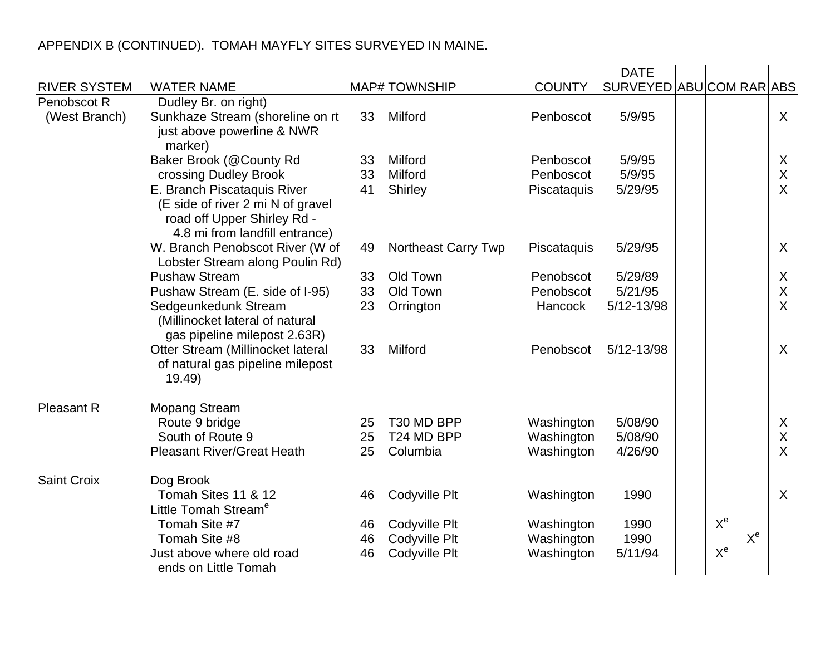|                     |                                                                                                    |    |                      |                    | <b>DATE</b>              |       |       |                |
|---------------------|----------------------------------------------------------------------------------------------------|----|----------------------|--------------------|--------------------------|-------|-------|----------------|
| <b>RIVER SYSTEM</b> | <b>WATER NAME</b>                                                                                  |    | <b>MAP# TOWNSHIP</b> | <b>COUNTY</b>      | SURVEYED ABU COM RAR ABS |       |       |                |
| Penobscot R         | Dudley Br. on right)                                                                               |    |                      |                    |                          |       |       |                |
| (West Branch)       | Sunkhaze Stream (shoreline on rt                                                                   | 33 | Milford              | Penboscot          | 5/9/95                   |       |       | X              |
|                     | just above powerline & NWR                                                                         |    |                      |                    |                          |       |       |                |
|                     | marker)                                                                                            |    |                      |                    |                          |       |       |                |
|                     | Baker Brook (@County Rd                                                                            | 33 | Milford              | Penboscot          | 5/9/95                   |       |       | X              |
|                     | crossing Dudley Brook                                                                              | 33 | Milford              | Penboscot          | 5/9/95                   |       |       | $\sf X$        |
|                     | E. Branch Piscataquis River                                                                        | 41 | Shirley              | <b>Piscataquis</b> | 5/29/95                  |       |       | $\sf X$        |
|                     | (E side of river 2 mi N of gravel<br>road off Upper Shirley Rd -<br>4.8 mi from landfill entrance) |    |                      |                    |                          |       |       |                |
|                     | W. Branch Penobscot River (W of<br>Lobster Stream along Poulin Rd)                                 | 49 | Northeast Carry Twp  | Piscataquis        | 5/29/95                  |       |       | $\sf X$        |
|                     | <b>Pushaw Stream</b>                                                                               | 33 | Old Town             | Penobscot          | 5/29/89                  |       |       | X              |
|                     | Pushaw Stream (E. side of I-95)                                                                    | 33 | Old Town             | Penobscot          | 5/21/95                  |       |       | $\sf X$        |
|                     | Sedgeunkedunk Stream                                                                               | 23 | Orrington            | Hancock            | 5/12-13/98               |       |       | $\overline{X}$ |
|                     | (Millinocket lateral of natural<br>gas pipeline milepost 2.63R)                                    |    |                      |                    |                          |       |       |                |
|                     | Otter Stream (Millinocket lateral                                                                  | 33 | Milford              | Penobscot          | $5/12 - 13/98$           |       |       | X              |
|                     | of natural gas pipeline milepost<br>19.49)                                                         |    |                      |                    |                          |       |       |                |
| <b>Pleasant R</b>   | <b>Mopang Stream</b>                                                                               |    |                      |                    |                          |       |       |                |
|                     | Route 9 bridge                                                                                     | 25 | T30 MD BPP           | Washington         | 5/08/90                  |       |       | X              |
|                     | South of Route 9                                                                                   | 25 | T24 MD BPP           | Washington         | 5/08/90                  |       |       | $\sf X$        |
|                     | <b>Pleasant River/Great Heath</b>                                                                  | 25 | Columbia             | Washington         | 4/26/90                  |       |       | $\overline{X}$ |
|                     |                                                                                                    |    |                      |                    |                          |       |       |                |
| <b>Saint Croix</b>  | Dog Brook                                                                                          |    |                      |                    |                          |       |       |                |
|                     | Tomah Sites 11 & 12                                                                                | 46 | Codyville Plt        | Washington         | 1990                     |       |       | X              |
|                     | Little Tomah Stream <sup>e</sup>                                                                   |    |                      |                    |                          |       |       |                |
|                     | Tomah Site #7                                                                                      | 46 | Codyville Plt        | Washington         | 1990                     | $X^e$ | $X^e$ |                |
|                     | Tomah Site #8                                                                                      | 46 | Codyville Plt        | Washington         | 1990                     |       |       |                |
|                     | Just above where old road<br>ends on Little Tomah                                                  | 46 | Codyville Plt        | Washington         | 5/11/94                  | $X^e$ |       |                |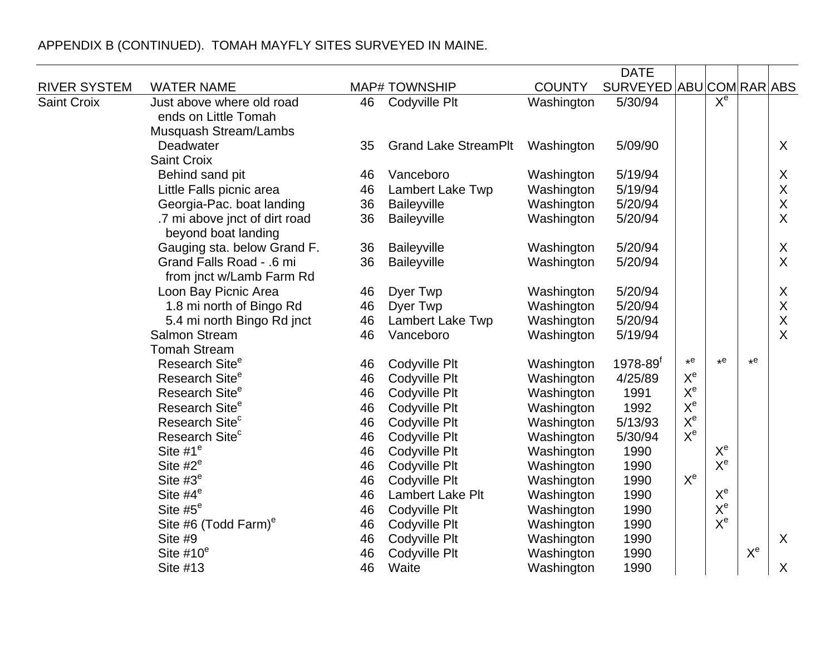|                     |                                                                            |    |                             |               | <b>DATE</b>              |                                 |                  |                                 |                           |
|---------------------|----------------------------------------------------------------------------|----|-----------------------------|---------------|--------------------------|---------------------------------|------------------|---------------------------------|---------------------------|
| <b>RIVER SYSTEM</b> | <b>WATER NAME</b>                                                          |    | <b>MAP# TOWNSHIP</b>        | <b>COUNTY</b> | SURVEYED ABU COM RAR ABS |                                 |                  |                                 |                           |
| <b>Saint Croix</b>  | Just above where old road<br>ends on Little Tomah<br>Musquash Stream/Lambs | 46 | Codyville Plt               | Washington    | 5/30/94                  |                                 | $\overline{X}$ e |                                 |                           |
|                     | Deadwater                                                                  | 35 | <b>Grand Lake StreamPlt</b> | Washington    | 5/09/90                  |                                 |                  |                                 | X                         |
|                     | <b>Saint Croix</b>                                                         |    |                             |               |                          |                                 |                  |                                 |                           |
|                     | Behind sand pit                                                            | 46 | Vanceboro                   | Washington    | 5/19/94                  |                                 |                  |                                 | X                         |
|                     | Little Falls picnic area                                                   | 46 | Lambert Lake Twp            | Washington    | 5/19/94                  |                                 |                  |                                 | $\boldsymbol{\mathsf{X}}$ |
|                     | Georgia-Pac. boat landing                                                  | 36 | Baileyville                 | Washington    | 5/20/94                  |                                 |                  |                                 | X                         |
|                     | .7 mi above jnct of dirt road<br>beyond boat landing                       | 36 | Baileyville                 | Washington    | 5/20/94                  |                                 |                  |                                 | $\overline{X}$            |
|                     | Gauging sta. below Grand F.                                                | 36 | Baileyville                 | Washington    | 5/20/94                  |                                 |                  |                                 | X                         |
|                     | Grand Falls Road - .6 mi<br>from jnct w/Lamb Farm Rd                       | 36 | Baileyville                 | Washington    | 5/20/94                  |                                 |                  |                                 | $\mathsf{X}$              |
|                     | Loon Bay Picnic Area                                                       | 46 | Dyer Twp                    | Washington    | 5/20/94                  |                                 |                  |                                 | X                         |
|                     | 1.8 mi north of Bingo Rd                                                   | 46 | Dyer Twp                    | Washington    | 5/20/94                  |                                 |                  |                                 | $\sf X$                   |
|                     | 5.4 mi north Bingo Rd jnct                                                 | 46 | Lambert Lake Twp            | Washington    | 5/20/94                  |                                 |                  |                                 | $\sf X$                   |
|                     | Salmon Stream                                                              | 46 | Vanceboro                   | Washington    | 5/19/94                  |                                 |                  |                                 | $\overline{X}$            |
|                     | <b>Tomah Stream</b>                                                        |    |                             |               |                          |                                 |                  |                                 |                           |
|                     | Research Site <sup>e</sup>                                                 | 46 | Codyville Plt               | Washington    | $1978 - 89$ <sup>t</sup> | $\star e$                       | $\star e$        | $\star e$                       |                           |
|                     | Research Site <sup>e</sup>                                                 | 46 | Codyville Plt               | Washington    | 4/25/89                  | $X^e$                           |                  |                                 |                           |
|                     | Research Site <sup>e</sup>                                                 | 46 | Codyville Plt               | Washington    | 1991                     | $X^e$                           |                  |                                 |                           |
|                     | Research Site <sup>e</sup>                                                 | 46 | Codyville Plt               | Washington    | 1992                     | $\mathsf{X}^{\operatorname{e}}$ |                  |                                 |                           |
|                     | Research Site <sup>c</sup>                                                 | 46 | Codyville Plt               | Washington    | 5/13/93                  | $\mathsf{X}^{\operatorname{e}}$ |                  |                                 |                           |
|                     | Research Site <sup>c</sup>                                                 | 46 | Codyville Plt               | Washington    | 5/30/94                  | $X^e$                           |                  |                                 |                           |
|                     | Site $#1e$                                                                 | 46 | Codyville Plt               | Washington    | 1990                     |                                 | $X^e$            |                                 |                           |
|                     | Site $#2^e$                                                                | 46 | Codyville Plt               | Washington    | 1990                     |                                 | $X^e$            |                                 |                           |
|                     | Site $#3^e$                                                                | 46 | Codyville Plt               | Washington    | 1990                     | $X^e$                           |                  |                                 |                           |
|                     | Site $#4^e$                                                                | 46 | Lambert Lake Plt            | Washington    | 1990                     |                                 | $X^e$            |                                 |                           |
|                     | Site $#5^e$                                                                | 46 | Codyville Plt               | Washington    | 1990                     |                                 | $X^e$            |                                 |                           |
|                     | Site #6 (Todd Farm) $e$                                                    | 46 | Codyville Plt               | Washington    | 1990                     |                                 | $X^e$            |                                 |                           |
|                     | Site #9                                                                    | 46 | Codyville Plt               | Washington    | 1990                     |                                 |                  |                                 | X                         |
|                     | Site $\#10^e$                                                              | 46 | Codyville Plt               | Washington    | 1990                     |                                 |                  | $\mathsf{X}^{\operatorname{e}}$ |                           |
|                     | Site #13                                                                   | 46 | Waite                       | Washington    | 1990                     |                                 |                  |                                 | X                         |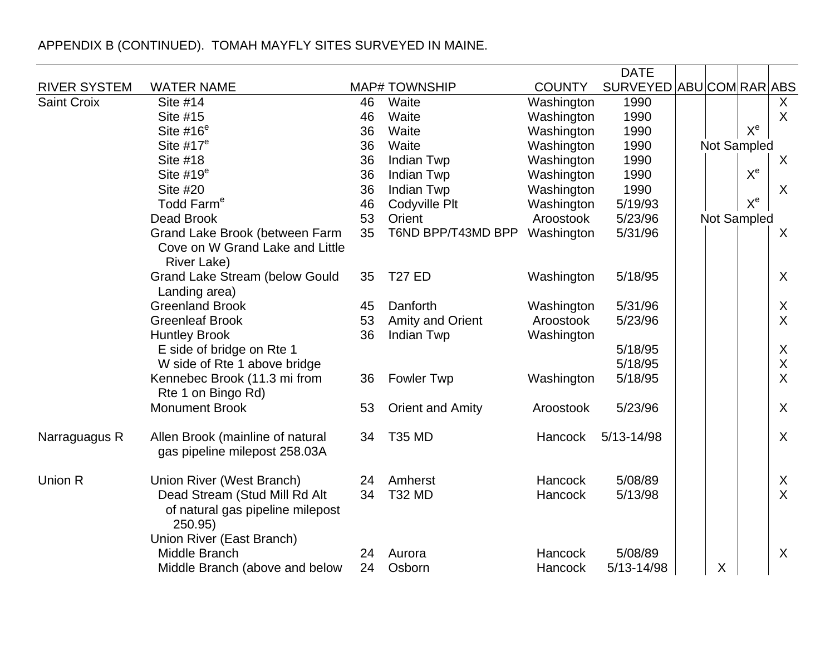|                     |                                                                              |    |                         |                         | <b>DATE</b>              |             |                                 |                           |
|---------------------|------------------------------------------------------------------------------|----|-------------------------|-------------------------|--------------------------|-------------|---------------------------------|---------------------------|
| <b>RIVER SYSTEM</b> | <b>WATER NAME</b>                                                            |    | <b>MAP# TOWNSHIP</b>    | <b>COUNTY</b>           | SURVEYED ABU COM RAR ABS |             |                                 |                           |
| <b>Saint Croix</b>  | Site #14                                                                     | 46 | Waite                   | Washington              | 1990                     |             |                                 | X                         |
|                     | Site #15                                                                     | 46 | Waite                   | Washington              | 1990                     |             |                                 | $\boldsymbol{\mathsf{X}}$ |
|                     | Site $#16^e$                                                                 | 36 | Waite                   | Washington              | 1990                     |             | $\mathsf{X}^{\operatorname{e}}$ |                           |
|                     | Site $#17e$                                                                  | 36 | Waite                   | Washington              | 1990                     | Not Sampled |                                 |                           |
|                     | Site #18                                                                     | 36 | Indian Twp              | Washington              | 1990                     |             |                                 | X                         |
|                     | Site $#19^e$                                                                 | 36 | Indian Twp              | Washington              | 1990                     |             | $X^e$                           |                           |
|                     | <b>Site #20</b>                                                              | 36 | Indian Twp              | Washington              | 1990                     |             |                                 | X                         |
|                     | Todd Farm <sup>e</sup>                                                       | 46 | Codyville Plt           | Washington              | 5/19/93                  |             | $\mathsf{X}^{\text{e}}$         |                           |
|                     | Dead Brook                                                                   | 53 | Orient                  | Aroostook               | 5/23/96                  | Not Sampled |                                 |                           |
|                     | Grand Lake Brook (between Farm                                               | 35 | T6ND BPP/T43MD BPP      | Washington              | 5/31/96                  |             |                                 | X                         |
|                     | Cove on W Grand Lake and Little<br>River Lake)                               |    |                         |                         |                          |             |                                 |                           |
|                     | <b>Grand Lake Stream (below Gould</b>                                        | 35 | <b>T27 ED</b>           | Washington              | 5/18/95                  |             |                                 | X                         |
|                     | Landing area)<br><b>Greenland Brook</b>                                      | 45 | Danforth                |                         | 5/31/96                  |             |                                 | X                         |
|                     | <b>Greenleaf Brook</b>                                                       | 53 | <b>Amity and Orient</b> | Washington<br>Aroostook | 5/23/96                  |             |                                 | $\mathsf{X}$              |
|                     | <b>Huntley Brook</b>                                                         | 36 | Indian Twp              | Washington              |                          |             |                                 |                           |
|                     | E side of bridge on Rte 1                                                    |    |                         |                         | 5/18/95                  |             |                                 | X                         |
|                     | W side of Rte 1 above bridge                                                 |    |                         |                         | 5/18/95                  |             |                                 | $\mathsf X$               |
|                     | Kennebec Brook (11.3 mi from                                                 | 36 | <b>Fowler Twp</b>       | Washington              | 5/18/95                  |             |                                 | $\mathsf{X}$              |
|                     | Rte 1 on Bingo Rd)                                                           |    |                         |                         |                          |             |                                 |                           |
|                     | <b>Monument Brook</b>                                                        | 53 | <b>Orient and Amity</b> | Aroostook               | 5/23/96                  |             |                                 | X                         |
| Narraguagus R       | Allen Brook (mainline of natural<br>gas pipeline milepost 258.03A            | 34 | <b>T35 MD</b>           | Hancock                 | 5/13-14/98               |             |                                 | X                         |
| Union R             | Union River (West Branch)                                                    | 24 | Amherst                 | Hancock                 | 5/08/89                  |             |                                 | X                         |
|                     | Dead Stream (Stud Mill Rd Alt<br>of natural gas pipeline milepost<br>250.95) | 34 | <b>T32 MD</b>           | Hancock                 | 5/13/98                  |             |                                 | X                         |
|                     | Union River (East Branch)                                                    |    |                         |                         |                          |             |                                 |                           |
|                     | Middle Branch                                                                | 24 | Aurora                  | Hancock                 | 5/08/89                  |             |                                 | X                         |
|                     | Middle Branch (above and below                                               | 24 | Osborn                  | Hancock                 | 5/13-14/98               | Χ           |                                 |                           |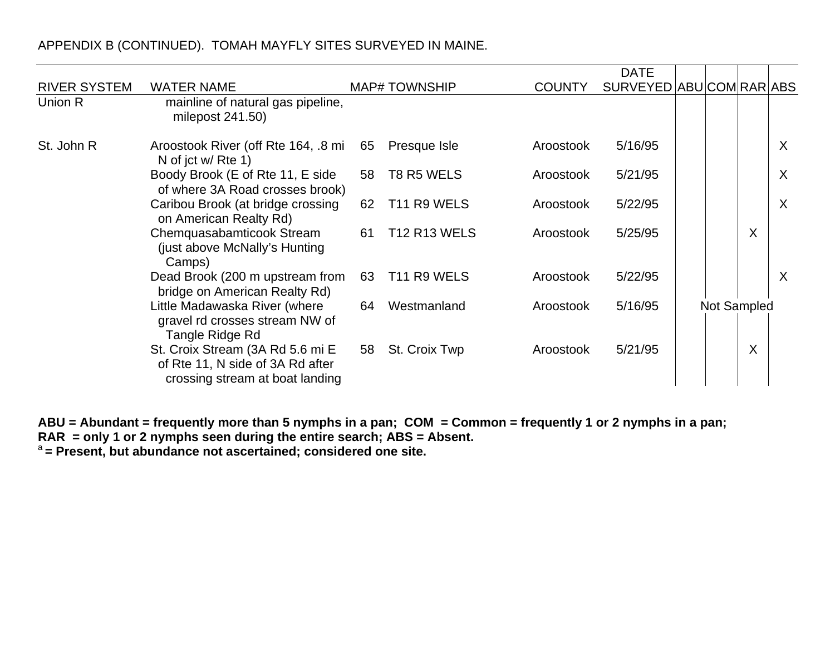|                     |                                                                                                         |    |                      |               | <b>DATE</b>              |             |   |         |
|---------------------|---------------------------------------------------------------------------------------------------------|----|----------------------|---------------|--------------------------|-------------|---|---------|
| <b>RIVER SYSTEM</b> | <b>WATER NAME</b>                                                                                       |    | <b>MAP# TOWNSHIP</b> | <b>COUNTY</b> | SURVEYED ABU COM RAR ABS |             |   |         |
| Union R             | mainline of natural gas pipeline,<br>milepost 241.50)                                                   |    |                      |               |                          |             |   |         |
| St. John R          | Aroostook River (off Rte 164, .8 mi<br>N of jct w/ Rte 1)                                               | 65 | Presque Isle         | Aroostook     | 5/16/95                  |             |   | $\sf X$ |
|                     | Boody Brook (E of Rte 11, E side<br>of where 3A Road crosses brook)                                     | 58 | T8 R5 WELS           | Aroostook     | 5/21/95                  |             |   | X       |
|                     | Caribou Brook (at bridge crossing<br>on American Realty Rd)                                             | 62 | T11 R9 WELS          | Aroostook     | 5/22/95                  |             |   | X       |
|                     | Chemquasabamticook Stream<br>(just above McNally's Hunting<br>Camps)                                    | 61 | <b>T12 R13 WELS</b>  | Aroostook     | 5/25/95                  |             | X |         |
|                     | Dead Brook (200 m upstream from<br>bridge on American Realty Rd)                                        | 63 | T11 R9 WELS          | Aroostook     | 5/22/95                  |             |   | X       |
|                     | Little Madawaska River (where<br>gravel rd crosses stream NW of<br>Tangle Ridge Rd                      | 64 | Westmanland          | Aroostook     | 5/16/95                  | Not Sampled |   |         |
|                     | St. Croix Stream (3A Rd 5.6 mi E<br>of Rte 11, N side of 3A Rd after<br>crossing stream at boat landing | 58 | St. Croix Twp        | Aroostook     | 5/21/95                  |             | X |         |

**ABU = Abundant = frequently more than 5 nymphs in a pan; COM = Common = frequently 1 or 2 nymphs in a pan; RAR = only 1 or 2 nymphs seen during the entire search; ABS = Absent.** 

<sup>a</sup>**= Present, but abundance not ascertained; considered one site.**